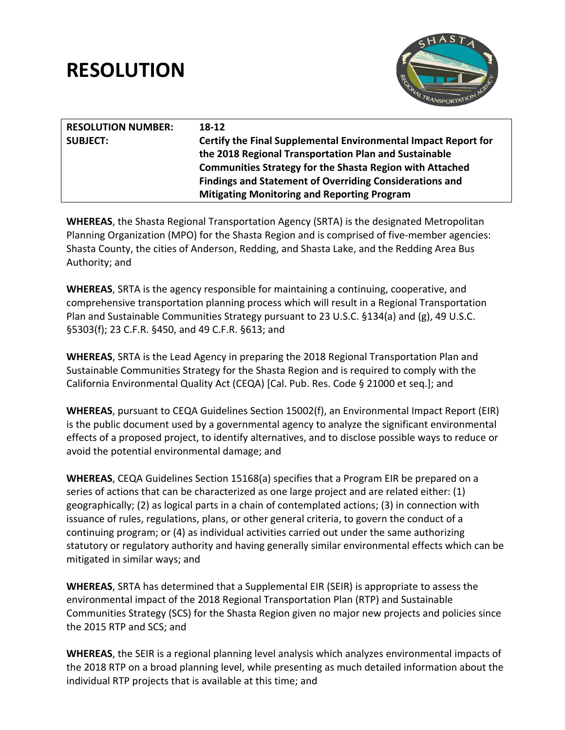# **RESOLUTION**



| <b>RESOLUTION NUMBER:</b> | 18-12                                                           |
|---------------------------|-----------------------------------------------------------------|
| <b>SUBJECT:</b>           | Certify the Final Supplemental Environmental Impact Report for  |
|                           | the 2018 Regional Transportation Plan and Sustainable           |
|                           | <b>Communities Strategy for the Shasta Region with Attached</b> |
|                           | <b>Findings and Statement of Overriding Considerations and</b>  |
|                           | <b>Mitigating Monitoring and Reporting Program</b>              |
|                           |                                                                 |

**WHEREAS**, the Shasta Regional Transportation Agency (SRTA) is the designated Metropolitan Planning Organization (MPO) for the Shasta Region and is comprised of five-member agencies: Shasta County, the cities of Anderson, Redding, and Shasta Lake, and the Redding Area Bus Authority; and

**WHEREAS**, SRTA is the agency responsible for maintaining a continuing, cooperative, and comprehensive transportation planning process which will result in a Regional Transportation Plan and Sustainable Communities Strategy pursuant to 23 U.S.C. §134(a) and (g), 49 U.S.C. §5303(f); 23 C.F.R. §450, and 49 C.F.R. §613; and

**WHEREAS**, SRTA is the Lead Agency in preparing the 2018 Regional Transportation Plan and Sustainable Communities Strategy for the Shasta Region and is required to comply with the California Environmental Quality Act (CEQA) [Cal. Pub. Res. Code § 21000 et seq.]; and

**WHEREAS**, pursuant to CEQA Guidelines Section 15002(f), an Environmental Impact Report (EIR) is the public document used by a governmental agency to analyze the significant environmental effects of a proposed project, to identify alternatives, and to disclose possible ways to reduce or avoid the potential environmental damage; and

**WHEREAS**, CEQA Guidelines Section 15168(a) specifies that a Program EIR be prepared on a series of actions that can be characterized as one large project and are related either: (1) geographically; (2) as logical parts in a chain of contemplated actions; (3) in connection with issuance of rules, regulations, plans, or other general criteria, to govern the conduct of a continuing program; or (4) as individual activities carried out under the same authorizing statutory or regulatory authority and having generally similar environmental effects which can be mitigated in similar ways; and

**WHEREAS**, SRTA has determined that a Supplemental EIR (SEIR) is appropriate to assess the environmental impact of the 2018 Regional Transportation Plan (RTP) and Sustainable Communities Strategy (SCS) for the Shasta Region given no major new projects and policies since the 2015 RTP and SCS; and

**WHEREAS**, the SEIR is a regional planning level analysis which analyzes environmental impacts of the 2018 RTP on a broad planning level, while presenting as much detailed information about the individual RTP projects that is available at this time; and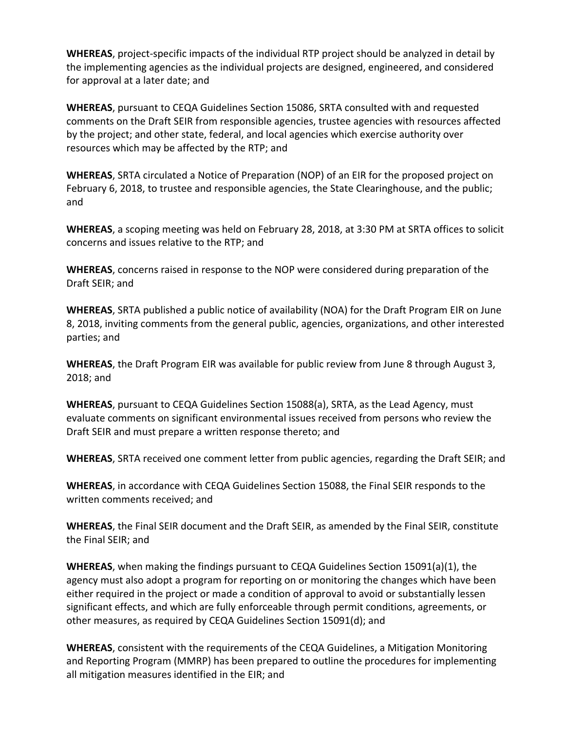**WHEREAS**, project-specific impacts of the individual RTP project should be analyzed in detail by the implementing agencies as the individual projects are designed, engineered, and considered for approval at a later date; and

**WHEREAS**, pursuant to CEQA Guidelines Section 15086, SRTA consulted with and requested comments on the Draft SEIR from responsible agencies, trustee agencies with resources affected by the project; and other state, federal, and local agencies which exercise authority over resources which may be affected by the RTP; and

**WHEREAS**, SRTA circulated a Notice of Preparation (NOP) of an EIR for the proposed project on February 6, 2018, to trustee and responsible agencies, the State Clearinghouse, and the public; and

**WHEREAS**, a scoping meeting was held on February 28, 2018, at 3:30 PM at SRTA offices to solicit concerns and issues relative to the RTP; and

**WHEREAS**, concerns raised in response to the NOP were considered during preparation of the Draft SEIR; and

**WHEREAS**, SRTA published a public notice of availability (NOA) for the Draft Program EIR on June 8, 2018, inviting comments from the general public, agencies, organizations, and other interested parties; and

**WHEREAS**, the Draft Program EIR was available for public review from June 8 through August 3, 2018; and

**WHEREAS**, pursuant to CEQA Guidelines Section 15088(a), SRTA, as the Lead Agency, must evaluate comments on significant environmental issues received from persons who review the Draft SEIR and must prepare a written response thereto; and

**WHEREAS**, SRTA received one comment letter from public agencies, regarding the Draft SEIR; and

**WHEREAS**, in accordance with CEQA Guidelines Section 15088, the Final SEIR responds to the written comments received; and

**WHEREAS**, the Final SEIR document and the Draft SEIR, as amended by the Final SEIR, constitute the Final SEIR; and

**WHEREAS**, when making the findings pursuant to CEQA Guidelines Section 15091(a)(1), the agency must also adopt a program for reporting on or monitoring the changes which have been either required in the project or made a condition of approval to avoid or substantially lessen significant effects, and which are fully enforceable through permit conditions, agreements, or other measures, as required by CEQA Guidelines Section 15091(d); and

**WHEREAS**, consistent with the requirements of the CEQA Guidelines, a Mitigation Monitoring and Reporting Program (MMRP) has been prepared to outline the procedures for implementing all mitigation measures identified in the EIR; and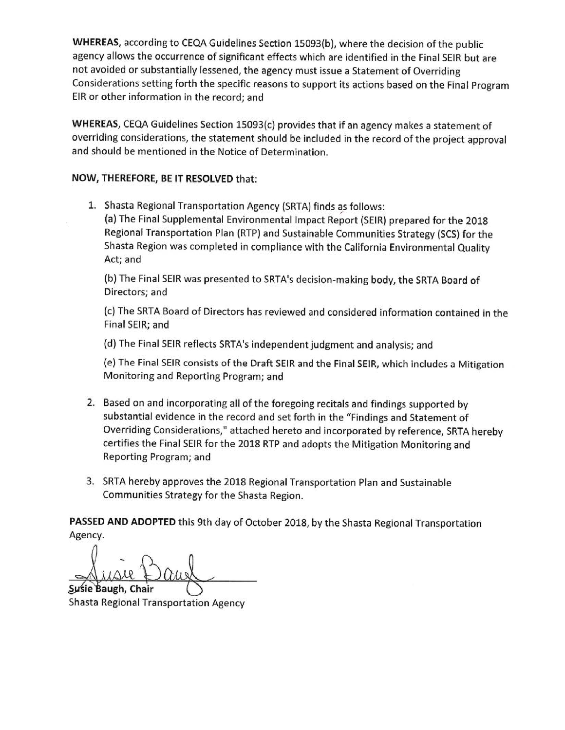WHEREAS, according to CEQA Guidelines Section 15093(b), where the decision of the public agency allows the occurrence of significant effects which are identified in the Final SEIR but are not avoided or substantially lessened, the agency must issue a Statement of Overriding Considerations setting forth the specific reasons to support its actions based on the Final Program EIR or other information in the record; and

WHEREAS, CEQA Guidelines Section 15093(c) provides that if an agency makes a statement of overriding considerations, the statement should be included in the record of the project approval and should be mentioned in the Notice of Determination.

#### NOW, THEREFORE, BE IT RESOLVED that:

1. Shasta Regional Transportation Agency (SRTA) finds as follows:

(a) The Final Supplemental Environmental Impact Report (SEIR) prepared for the 2018 Regional Transportation Plan (RTP) and Sustainable Communities Strategy (SCS) for the Shasta Region was completed in compliance with the California Environmental Quality Act; and

(b) The Final SEIR was presented to SRTA's decision-making body, the SRTA Board of Directors; and

(c) The SRTA Board of Directors has reviewed and considered information contained in the Final SEIR; and

(d) The Final SEIR reflects SRTA's independent judgment and analysis; and

(e) The Final SEIR consists of the Draft SEIR and the Final SEIR, which includes a Mitigation Monitoring and Reporting Program; and

- 2. Based on and incorporating all of the foregoing recitals and findings supported by substantial evidence in the record and set forth in the "Findings and Statement of Overriding Considerations," attached hereto and incorporated by reference, SRTA hereby certifies the Final SEIR for the 2018 RTP and adopts the Mitigation Monitoring and Reporting Program; and
- 3. SRTA hereby approves the 2018 Regional Transportation Plan and Sustainable Communities Strategy for the Shasta Region.

PASSED AND ADOPTED this 9th day of October 2018, by the Shasta Regional Transportation Agency.

Susie Baugh, Chair Shasta Regional Transportation Agency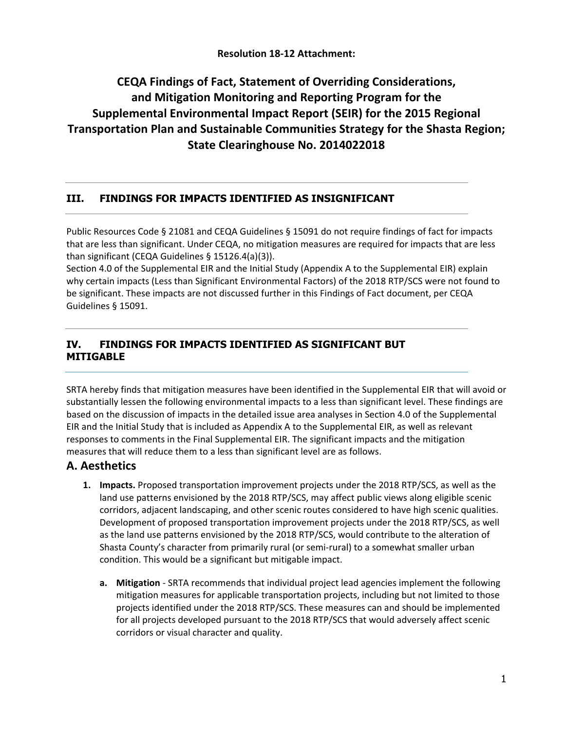#### **Resolution 18-12 Attachment:**

# **CEQA Findings of Fact, Statement of Overriding Considerations, and Mitigation Monitoring and Reporting Program for the Supplemental Environmental Impact Report (SEIR) for the 2015 Regional Transportation Plan and Sustainable Communities Strategy for the Shasta Region; State Clearinghouse No. 2014022018**

#### **III. FINDINGS FOR IMPACTS IDENTIFIED AS INSIGNIFICANT**

Public Resources Code § 21081 and CEQA Guidelines § 15091 do not require findings of fact for impacts that are less than significant. Under CEQA, no mitigation measures are required for impacts that are less than significant (CEQA Guidelines § 15126.4(a)(3)).

Section 4.0 of the Supplemental EIR and the Initial Study (Appendix A to the Supplemental EIR) explain why certain impacts (Less than Significant Environmental Factors) of the 2018 RTP/SCS were not found to be significant. These impacts are not discussed further in this Findings of Fact document, per CEQA Guidelines § 15091.

#### **IV. FINDINGS FOR IMPACTS IDENTIFIED AS SIGNIFICANT BUT MITIGABLE**

SRTA hereby finds that mitigation measures have been identified in the Supplemental EIR that will avoid or substantially lessen the following environmental impacts to a less than significant level. These findings are based on the discussion of impacts in the detailed issue area analyses in Section 4.0 of the Supplemental EIR and the Initial Study that is included as Appendix A to the Supplemental EIR, as well as relevant responses to comments in the Final Supplemental EIR. The significant impacts and the mitigation measures that will reduce them to a less than significant level are as follows.

#### **A. Aesthetics**

- **1. Impacts.** Proposed transportation improvement projects under the 2018 RTP/SCS, as well as the land use patterns envisioned by the 2018 RTP/SCS, may affect public views along eligible scenic corridors, adjacent landscaping, and other scenic routes considered to have high scenic qualities. Development of proposed transportation improvement projects under the 2018 RTP/SCS, as well as the land use patterns envisioned by the 2018 RTP/SCS, would contribute to the alteration of Shasta County's character from primarily rural (or semi-rural) to a somewhat smaller urban condition. This would be a significant but mitigable impact.
	- **a. Mitigation**  SRTA recommends that individual project lead agencies implement the following mitigation measures for applicable transportation projects, including but not limited to those projects identified under the 2018 RTP/SCS. These measures can and should be implemented for all projects developed pursuant to the 2018 RTP/SCS that would adversely affect scenic corridors or visual character and quality.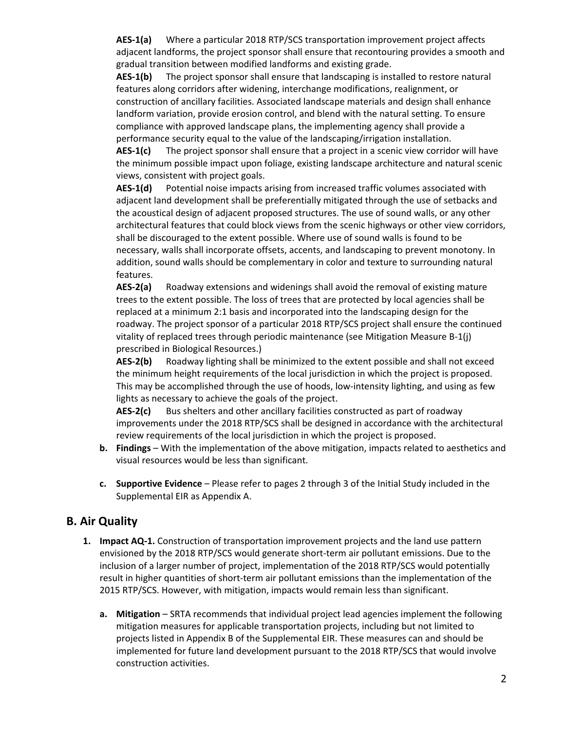**AES-1(a)** Where a particular 2018 RTP/SCS transportation improvement project affects adjacent landforms, the project sponsor shall ensure that recontouring provides a smooth and gradual transition between modified landforms and existing grade.

**AES-1(b)** The project sponsor shall ensure that landscaping is installed to restore natural features along corridors after widening, interchange modifications, realignment, or construction of ancillary facilities. Associated landscape materials and design shall enhance landform variation, provide erosion control, and blend with the natural setting. To ensure compliance with approved landscape plans, the implementing agency shall provide a performance security equal to the value of the landscaping/irrigation installation.

AES-1(c) The project sponsor shall ensure that a project in a scenic view corridor will have the minimum possible impact upon foliage, existing landscape architecture and natural scenic views, consistent with project goals.

**AES-1(d)** Potential noise impacts arising from increased traffic volumes associated with adjacent land development shall be preferentially mitigated through the use of setbacks and the acoustical design of adjacent proposed structures. The use of sound walls, or any other architectural features that could block views from the scenic highways or other view corridors, shall be discouraged to the extent possible. Where use of sound walls is found to be necessary, walls shall incorporate offsets, accents, and landscaping to prevent monotony. In addition, sound walls should be complementary in color and texture to surrounding natural features.

**AES-2(a)** Roadway extensions and widenings shall avoid the removal of existing mature trees to the extent possible. The loss of trees that are protected by local agencies shall be replaced at a minimum 2:1 basis and incorporated into the landscaping design for the roadway. The project sponsor of a particular 2018 RTP/SCS project shall ensure the continued vitality of replaced trees through periodic maintenance (see Mitigation Measure B-1(j) prescribed in Biological Resources.)

**AES-2(b)** Roadway lighting shall be minimized to the extent possible and shall not exceed the minimum height requirements of the local jurisdiction in which the project is proposed. This may be accomplished through the use of hoods, low-intensity lighting, and using as few lights as necessary to achieve the goals of the project.

**AES-2(c)** Bus shelters and other ancillary facilities constructed as part of roadway improvements under the 2018 RTP/SCS shall be designed in accordance with the architectural review requirements of the local jurisdiction in which the project is proposed.

- **b. Findings** With the implementation of the above mitigation, impacts related to aesthetics and visual resources would be less than significant.
- **c. Supportive Evidence** Please refer to pages 2 through 3 of the Initial Study included in the Supplemental EIR as Appendix A.

#### **B. Air Quality**

- **1. Impact AQ-1.** Construction of transportation improvement projects and the land use pattern envisioned by the 2018 RTP/SCS would generate short-term air pollutant emissions. Due to the inclusion of a larger number of project, implementation of the 2018 RTP/SCS would potentially result in higher quantities of short-term air pollutant emissions than the implementation of the 2015 RTP/SCS. However, with mitigation, impacts would remain less than significant.
	- **a. Mitigation** SRTA recommends that individual project lead agencies implement the following mitigation measures for applicable transportation projects, including but not limited to projects listed in Appendix B of the Supplemental EIR. These measures can and should be implemented for future land development pursuant to the 2018 RTP/SCS that would involve construction activities.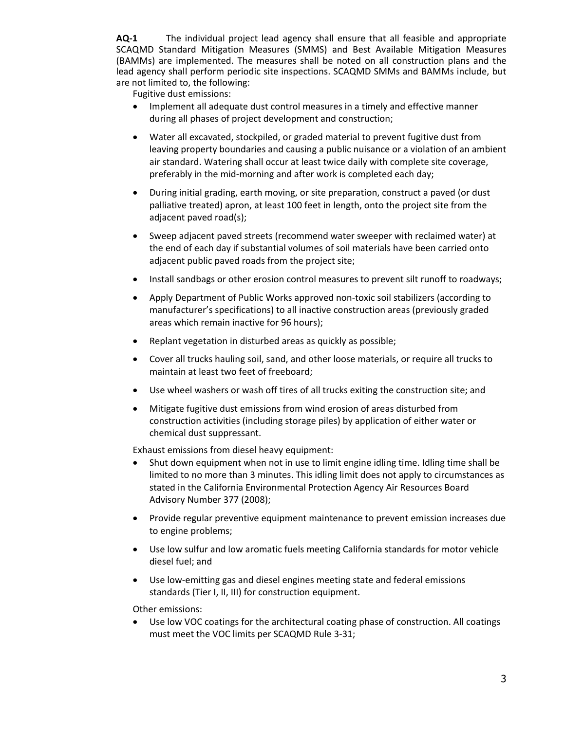**AQ-1** The individual project lead agency shall ensure that all feasible and appropriate SCAQMD Standard Mitigation Measures (SMMS) and Best Available Mitigation Measures (BAMMs) are implemented. The measures shall be noted on all construction plans and the lead agency shall perform periodic site inspections. SCAQMD SMMs and BAMMs include, but are not limited to, the following:

Fugitive dust emissions:

- Implement all adequate dust control measures in a timely and effective manner during all phases of project development and construction;
- Water all excavated, stockpiled, or graded material to prevent fugitive dust from leaving property boundaries and causing a public nuisance or a violation of an ambient air standard. Watering shall occur at least twice daily with complete site coverage, preferably in the mid-morning and after work is completed each day;
- During initial grading, earth moving, or site preparation, construct a paved (or dust palliative treated) apron, at least 100 feet in length, onto the project site from the adjacent paved road(s);
- Sweep adjacent paved streets (recommend water sweeper with reclaimed water) at the end of each day if substantial volumes of soil materials have been carried onto adjacent public paved roads from the project site;
- Install sandbags or other erosion control measures to prevent silt runoff to roadways;
- Apply Department of Public Works approved non-toxic soil stabilizers (according to manufacturer's specifications) to all inactive construction areas (previously graded areas which remain inactive for 96 hours);
- Replant vegetation in disturbed areas as quickly as possible;
- Cover all trucks hauling soil, sand, and other loose materials, or require all trucks to maintain at least two feet of freeboard;
- Use wheel washers or wash off tires of all trucks exiting the construction site; and
- Mitigate fugitive dust emissions from wind erosion of areas disturbed from construction activities (including storage piles) by application of either water or chemical dust suppressant.

Exhaust emissions from diesel heavy equipment:

- Shut down equipment when not in use to limit engine idling time. Idling time shall be limited to no more than 3 minutes. This idling limit does not apply to circumstances as stated in the California Environmental Protection Agency Air Resources Board Advisory Number 377 (2008);
- Provide regular preventive equipment maintenance to prevent emission increases due to engine problems;
- Use low sulfur and low aromatic fuels meeting California standards for motor vehicle diesel fuel; and
- Use low-emitting gas and diesel engines meeting state and federal emissions standards (Tier I, II, III) for construction equipment.

Other emissions:

Use low VOC coatings for the architectural coating phase of construction. All coatings must meet the VOC limits per SCAQMD Rule 3-31;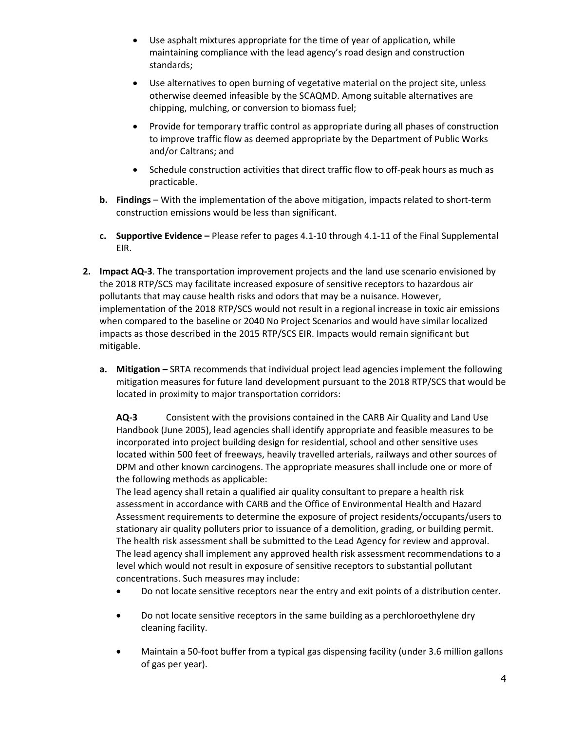- Use asphalt mixtures appropriate for the time of year of application, while maintaining compliance with the lead agency's road design and construction standards;
- Use alternatives to open burning of vegetative material on the project site, unless otherwise deemed infeasible by the SCAQMD. Among suitable alternatives are chipping, mulching, or conversion to biomass fuel;
- Provide for temporary traffic control as appropriate during all phases of construction to improve traffic flow as deemed appropriate by the Department of Public Works and/or Caltrans; and
- Schedule construction activities that direct traffic flow to off-peak hours as much as practicable.
- **b. Findings** With the implementation of the above mitigation, impacts related to short-term construction emissions would be less than significant.
- **c. Supportive Evidence –** Please refer to pages 4.1-10 through 4.1-11 of the Final Supplemental EIR.
- **2. Impact AQ-3**. The transportation improvement projects and the land use scenario envisioned by the 2018 RTP/SCS may facilitate increased exposure of sensitive receptors to hazardous air pollutants that may cause health risks and odors that may be a nuisance. However, implementation of the 2018 RTP/SCS would not result in a regional increase in toxic air emissions when compared to the baseline or 2040 No Project Scenarios and would have similar localized impacts as those described in the 2015 RTP/SCS EIR. Impacts would remain significant but mitigable.
	- **a. Mitigation –** SRTA recommends that individual project lead agencies implement the following mitigation measures for future land development pursuant to the 2018 RTP/SCS that would be located in proximity to major transportation corridors:

**AQ-3** Consistent with the provisions contained in the CARB Air Quality and Land Use Handbook (June 2005), lead agencies shall identify appropriate and feasible measures to be incorporated into project building design for residential, school and other sensitive uses located within 500 feet of freeways, heavily travelled arterials, railways and other sources of DPM and other known carcinogens. The appropriate measures shall include one or more of the following methods as applicable:

The lead agency shall retain a qualified air quality consultant to prepare a health risk assessment in accordance with CARB and the Office of Environmental Health and Hazard Assessment requirements to determine the exposure of project residents/occupants/users to stationary air quality polluters prior to issuance of a demolition, grading, or building permit. The health risk assessment shall be submitted to the Lead Agency for review and approval. The lead agency shall implement any approved health risk assessment recommendations to a level which would not result in exposure of sensitive receptors to substantial pollutant concentrations. Such measures may include:

- Do not locate sensitive receptors near the entry and exit points of a distribution center.
- Do not locate sensitive receptors in the same building as a perchloroethylene dry cleaning facility.
- Maintain a 50-foot buffer from a typical gas dispensing facility (under 3.6 million gallons of gas per year).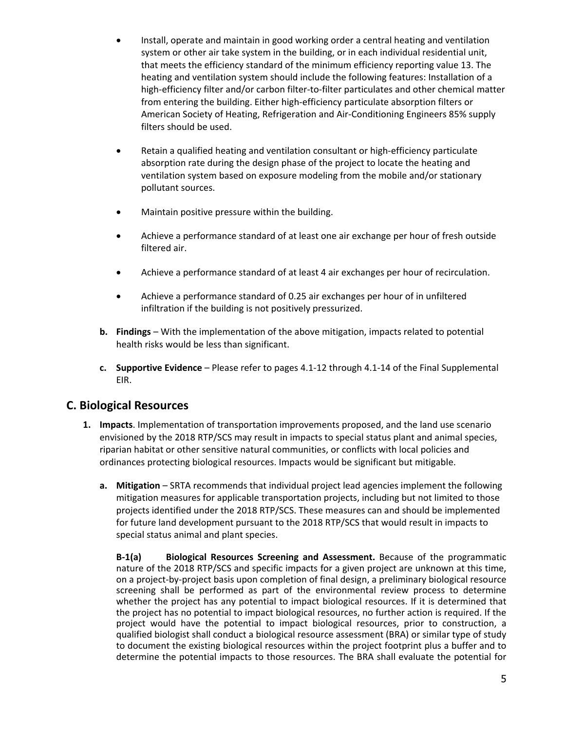- Install, operate and maintain in good working order a central heating and ventilation system or other air take system in the building, or in each individual residential unit, that meets the efficiency standard of the minimum efficiency reporting value 13. The heating and ventilation system should include the following features: Installation of a high-efficiency filter and/or carbon filter-to-filter particulates and other chemical matter from entering the building. Either high-efficiency particulate absorption filters or American Society of Heating, Refrigeration and Air-Conditioning Engineers 85% supply filters should be used.
- Retain a qualified heating and ventilation consultant or high-efficiency particulate absorption rate during the design phase of the project to locate the heating and ventilation system based on exposure modeling from the mobile and/or stationary pollutant sources.
- Maintain positive pressure within the building.
- Achieve a performance standard of at least one air exchange per hour of fresh outside filtered air.
- Achieve a performance standard of at least 4 air exchanges per hour of recirculation.
- Achieve a performance standard of 0.25 air exchanges per hour of in unfiltered infiltration if the building is not positively pressurized.
- **b. Findings** With the implementation of the above mitigation, impacts related to potential health risks would be less than significant.
- **c. Supportive Evidence** Please refer to pages 4.1-12 through 4.1-14 of the Final Supplemental EIR.

# **C. Biological Resources**

- **1. Impacts**. Implementation of transportation improvements proposed, and the land use scenario envisioned by the 2018 RTP/SCS may result in impacts to special status plant and animal species, riparian habitat or other sensitive natural communities, or conflicts with local policies and ordinances protecting biological resources. Impacts would be significant but mitigable.
	- **a. Mitigation**  SRTA recommends that individual project lead agencies implement the following mitigation measures for applicable transportation projects, including but not limited to those projects identified under the 2018 RTP/SCS. These measures can and should be implemented for future land development pursuant to the 2018 RTP/SCS that would result in impacts to special status animal and plant species.

**B-1(a) Biological Resources Screening and Assessment.** Because of the programmatic nature of the 2018 RTP/SCS and specific impacts for a given project are unknown at this time, on a project-by-project basis upon completion of final design, a preliminary biological resource screening shall be performed as part of the environmental review process to determine whether the project has any potential to impact biological resources. If it is determined that the project has no potential to impact biological resources, no further action is required. If the project would have the potential to impact biological resources, prior to construction, a qualified biologist shall conduct a biological resource assessment (BRA) or similar type of study to document the existing biological resources within the project footprint plus a buffer and to determine the potential impacts to those resources. The BRA shall evaluate the potential for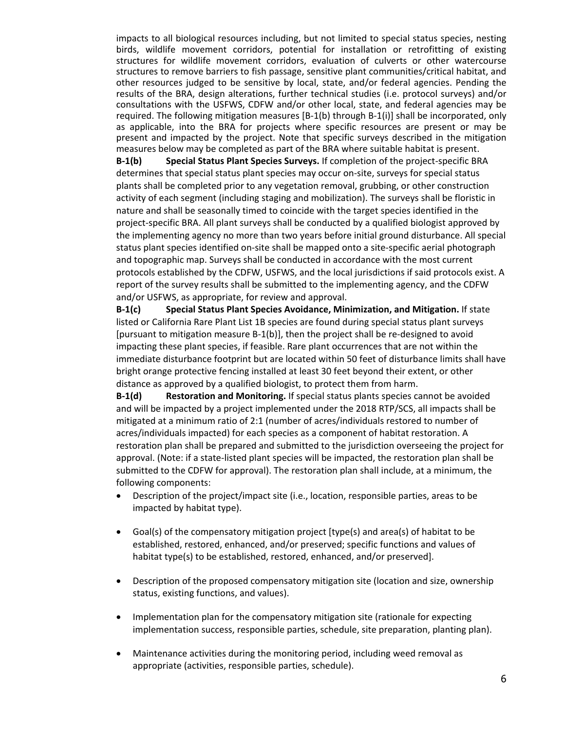impacts to all biological resources including, but not limited to special status species, nesting birds, wildlife movement corridors, potential for installation or retrofitting of existing structures for wildlife movement corridors, evaluation of culverts or other watercourse structures to remove barriers to fish passage, sensitive plant communities/critical habitat, and other resources judged to be sensitive by local, state, and/or federal agencies. Pending the results of the BRA, design alterations, further technical studies (i.e. protocol surveys) and/or consultations with the USFWS, CDFW and/or other local, state, and federal agencies may be required. The following mitigation measures [B-1(b) through B-1(i)] shall be incorporated, only as applicable, into the BRA for projects where specific resources are present or may be present and impacted by the project. Note that specific surveys described in the mitigation measures below may be completed as part of the BRA where suitable habitat is present.

**B-1(b) Special Status Plant Species Surveys.** If completion of the project-specific BRA determines that special status plant species may occur on-site, surveys for special status plants shall be completed prior to any vegetation removal, grubbing, or other construction activity of each segment (including staging and mobilization). The surveys shall be floristic in nature and shall be seasonally timed to coincide with the target species identified in the project-specific BRA. All plant surveys shall be conducted by a qualified biologist approved by the implementing agency no more than two years before initial ground disturbance. All special status plant species identified on-site shall be mapped onto a site-specific aerial photograph and topographic map. Surveys shall be conducted in accordance with the most current protocols established by the CDFW, USFWS, and the local jurisdictions if said protocols exist. A report of the survey results shall be submitted to the implementing agency, and the CDFW and/or USFWS, as appropriate, for review and approval.

**B-1(c) Special Status Plant Species Avoidance, Minimization, and Mitigation.** If state listed or California Rare Plant List 1B species are found during special status plant surveys [pursuant to mitigation measure B-1(b)], then the project shall be re-designed to avoid impacting these plant species, if feasible. Rare plant occurrences that are not within the immediate disturbance footprint but are located within 50 feet of disturbance limits shall have bright orange protective fencing installed at least 30 feet beyond their extent, or other distance as approved by a qualified biologist, to protect them from harm.

**B-1(d) Restoration and Monitoring.** If special status plants species cannot be avoided and will be impacted by a project implemented under the 2018 RTP/SCS, all impacts shall be mitigated at a minimum ratio of 2:1 (number of acres/individuals restored to number of acres/individuals impacted) for each species as a component of habitat restoration. A restoration plan shall be prepared and submitted to the jurisdiction overseeing the project for approval. (Note: if a state-listed plant species will be impacted, the restoration plan shall be submitted to the CDFW for approval). The restoration plan shall include, at a minimum, the following components:

- Description of the project/impact site (i.e., location, responsible parties, areas to be impacted by habitat type).
- Goal(s) of the compensatory mitigation project [type(s) and area(s) of habitat to be established, restored, enhanced, and/or preserved; specific functions and values of habitat type(s) to be established, restored, enhanced, and/or preserved].
- Description of the proposed compensatory mitigation site (location and size, ownership status, existing functions, and values).
- Implementation plan for the compensatory mitigation site (rationale for expecting implementation success, responsible parties, schedule, site preparation, planting plan).
- Maintenance activities during the monitoring period, including weed removal as appropriate (activities, responsible parties, schedule).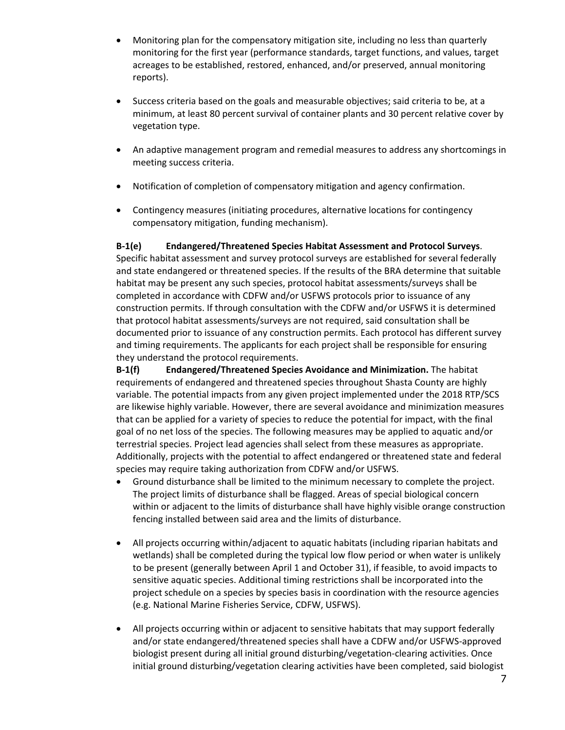- Monitoring plan for the compensatory mitigation site, including no less than quarterly monitoring for the first year (performance standards, target functions, and values, target acreages to be established, restored, enhanced, and/or preserved, annual monitoring reports).
- Success criteria based on the goals and measurable objectives; said criteria to be, at a minimum, at least 80 percent survival of container plants and 30 percent relative cover by vegetation type.
- An adaptive management program and remedial measures to address any shortcomings in meeting success criteria.
- Notification of completion of compensatory mitigation and agency confirmation.
- Contingency measures (initiating procedures, alternative locations for contingency compensatory mitigation, funding mechanism).

**B-1(e) Endangered/Threatened Species Habitat Assessment and Protocol Surveys**. Specific habitat assessment and survey protocol surveys are established for several federally and state endangered or threatened species. If the results of the BRA determine that suitable habitat may be present any such species, protocol habitat assessments/surveys shall be completed in accordance with CDFW and/or USFWS protocols prior to issuance of any construction permits. If through consultation with the CDFW and/or USFWS it is determined that protocol habitat assessments/surveys are not required, said consultation shall be documented prior to issuance of any construction permits. Each protocol has different survey and timing requirements. The applicants for each project shall be responsible for ensuring they understand the protocol requirements.

**B-1(f) Endangered/Threatened Species Avoidance and Minimization.** The habitat requirements of endangered and threatened species throughout Shasta County are highly variable. The potential impacts from any given project implemented under the 2018 RTP/SCS are likewise highly variable. However, there are several avoidance and minimization measures that can be applied for a variety of species to reduce the potential for impact, with the final goal of no net loss of the species. The following measures may be applied to aquatic and/or terrestrial species. Project lead agencies shall select from these measures as appropriate. Additionally, projects with the potential to affect endangered or threatened state and federal species may require taking authorization from CDFW and/or USFWS.

- Ground disturbance shall be limited to the minimum necessary to complete the project. The project limits of disturbance shall be flagged. Areas of special biological concern within or adjacent to the limits of disturbance shall have highly visible orange construction fencing installed between said area and the limits of disturbance.
- All projects occurring within/adjacent to aquatic habitats (including riparian habitats and wetlands) shall be completed during the typical low flow period or when water is unlikely to be present (generally between April 1 and October 31), if feasible, to avoid impacts to sensitive aquatic species. Additional timing restrictions shall be incorporated into the project schedule on a species by species basis in coordination with the resource agencies (e.g. National Marine Fisheries Service, CDFW, USFWS).
- All projects occurring within or adjacent to sensitive habitats that may support federally and/or state endangered/threatened species shall have a CDFW and/or USFWS-approved biologist present during all initial ground disturbing/vegetation-clearing activities. Once initial ground disturbing/vegetation clearing activities have been completed, said biologist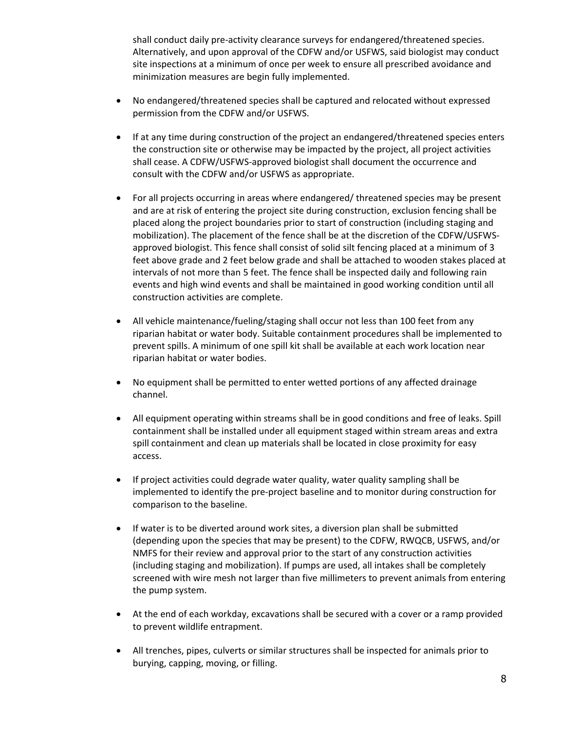shall conduct daily pre-activity clearance surveys for endangered/threatened species. Alternatively, and upon approval of the CDFW and/or USFWS, said biologist may conduct site inspections at a minimum of once per week to ensure all prescribed avoidance and minimization measures are begin fully implemented.

- No endangered/threatened species shall be captured and relocated without expressed permission from the CDFW and/or USFWS.
- If at any time during construction of the project an endangered/threatened species enters the construction site or otherwise may be impacted by the project, all project activities shall cease. A CDFW/USFWS-approved biologist shall document the occurrence and consult with the CDFW and/or USFWS as appropriate.
- For all projects occurring in areas where endangered/ threatened species may be present and are at risk of entering the project site during construction, exclusion fencing shall be placed along the project boundaries prior to start of construction (including staging and mobilization). The placement of the fence shall be at the discretion of the CDFW/USFWSapproved biologist. This fence shall consist of solid silt fencing placed at a minimum of 3 feet above grade and 2 feet below grade and shall be attached to wooden stakes placed at intervals of not more than 5 feet. The fence shall be inspected daily and following rain events and high wind events and shall be maintained in good working condition until all construction activities are complete.
- All vehicle maintenance/fueling/staging shall occur not less than 100 feet from any riparian habitat or water body. Suitable containment procedures shall be implemented to prevent spills. A minimum of one spill kit shall be available at each work location near riparian habitat or water bodies.
- No equipment shall be permitted to enter wetted portions of any affected drainage channel.
- All equipment operating within streams shall be in good conditions and free of leaks. Spill containment shall be installed under all equipment staged within stream areas and extra spill containment and clean up materials shall be located in close proximity for easy access.
- If project activities could degrade water quality, water quality sampling shall be implemented to identify the pre-project baseline and to monitor during construction for comparison to the baseline.
- If water is to be diverted around work sites, a diversion plan shall be submitted (depending upon the species that may be present) to the CDFW, RWQCB, USFWS, and/or NMFS for their review and approval prior to the start of any construction activities (including staging and mobilization). If pumps are used, all intakes shall be completely screened with wire mesh not larger than five millimeters to prevent animals from entering the pump system.
- At the end of each workday, excavations shall be secured with a cover or a ramp provided to prevent wildlife entrapment.
- All trenches, pipes, culverts or similar structures shall be inspected for animals prior to burying, capping, moving, or filling.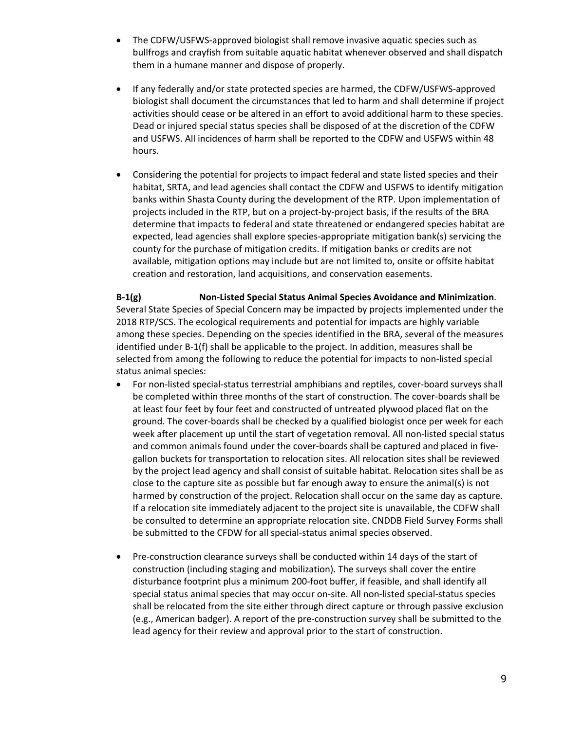- The CDFW/USFWS-approved biologist shall remove invasive aquatic species such as bullfrogs and crayfish from suitable aquatic habitat whenever observed and shall dispatch them in a humane manner and dispose of properly.
- If any federally and/or state protected species are harmed, the CDFW/USFWS-approved biologist shall document the circumstances that led to harm and shall determine if project activities should cease or be altered in an effort to avoid additional harm to these species. Dead or injured special status species shall be disposed of at the discretion of the CDFW and USFWS. All incidences of harm shall be reported to the CDFW and USFWS within 48 hours.
- Considering the potential for projects to impact federal and state listed species and their habitat, SRTA, and lead agencies shall contact the CDFW and USFWS to identify mitigation banks within Shasta County during the development of the RTP. Upon implementation of projects included in the RTP, but on a project-by-project basis, if the results of the BRA determine that impacts to federal and state threatened or endangered species habitat are expected, lead agencies shall explore species-appropriate mitigation bank(s) servicing the county for the purchase of mitigation credits. If mitigation banks or credits are not available, mitigation options may include but are not limited to, onsite or offsite habitat creation and restoration, land acquisitions, and conservation easements.

**B-1(g) Non-Listed Special Status Animal Species Avoidance and Minimization**. Several State Species of Special Concern may be impacted by projects implemented under the 2018 RTP/SCS. The ecological requirements and potential for impacts are highly variable among these species. Depending on the species identified in the BRA, several of the measures identified under B-1(f) shall be applicable to the project. In addition, measures shall be selected from among the following to reduce the potential for impacts to non-listed special status animal species:

- For non-listed special-status terrestrial amphibians and reptiles, cover-board surveys shall be completed within three months of the start of construction. The cover-boards shall be at least four feet by four feet and constructed of untreated plywood placed flat on the ground. The cover-boards shall be checked by a qualified biologist once per week for each week after placement up until the start of vegetation removal. All non-listed special status and common animals found under the cover-boards shall be captured and placed in fivegallon buckets for transportation to relocation sites. All relocation sites shall be reviewed by the project lead agency and shall consist of suitable habitat. Relocation sites shall be as close to the capture site as possible but far enough away to ensure the animal(s) is not harmed by construction of the project. Relocation shall occur on the same day as capture. If a relocation site immediately adjacent to the project site is unavailable, the CDFW shall be consulted to determine an appropriate relocation site. CNDDB Field Survey Forms shall be submitted to the CFDW for all special-status animal species observed.
- Pre-construction clearance surveys shall be conducted within 14 days of the start of construction (including staging and mobilization). The surveys shall cover the entire disturbance footprint plus a minimum 200-foot buffer, if feasible, and shall identify all special status animal species that may occur on-site. All non-listed special-status species shall be relocated from the site either through direct capture or through passive exclusion (e.g., American badger). A report of the pre-construction survey shall be submitted to the lead agency for their review and approval prior to the start of construction.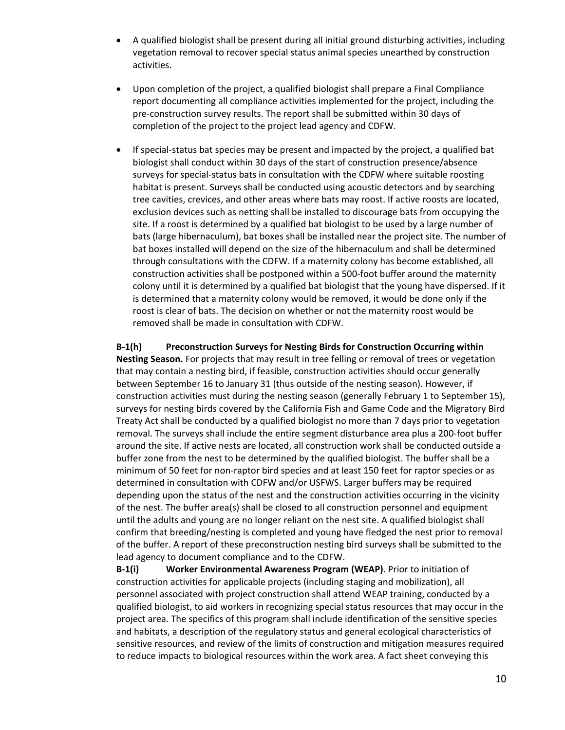- A qualified biologist shall be present during all initial ground disturbing activities, including vegetation removal to recover special status animal species unearthed by construction activities.
- Upon completion of the project, a qualified biologist shall prepare a Final Compliance report documenting all compliance activities implemented for the project, including the pre-construction survey results. The report shall be submitted within 30 days of completion of the project to the project lead agency and CDFW.
- If special-status bat species may be present and impacted by the project, a qualified bat biologist shall conduct within 30 days of the start of construction presence/absence surveys for special-status bats in consultation with the CDFW where suitable roosting habitat is present. Surveys shall be conducted using acoustic detectors and by searching tree cavities, crevices, and other areas where bats may roost. If active roosts are located, exclusion devices such as netting shall be installed to discourage bats from occupying the site. If a roost is determined by a qualified bat biologist to be used by a large number of bats (large hibernaculum), bat boxes shall be installed near the project site. The number of bat boxes installed will depend on the size of the hibernaculum and shall be determined through consultations with the CDFW. If a maternity colony has become established, all construction activities shall be postponed within a 500-foot buffer around the maternity colony until it is determined by a qualified bat biologist that the young have dispersed. If it is determined that a maternity colony would be removed, it would be done only if the roost is clear of bats. The decision on whether or not the maternity roost would be removed shall be made in consultation with CDFW.

**B-1(h) Preconstruction Surveys for Nesting Birds for Construction Occurring within Nesting Season.** For projects that may result in tree felling or removal of trees or vegetation that may contain a nesting bird, if feasible, construction activities should occur generally between September 16 to January 31 (thus outside of the nesting season). However, if construction activities must during the nesting season (generally February 1 to September 15), surveys for nesting birds covered by the California Fish and Game Code and the Migratory Bird Treaty Act shall be conducted by a qualified biologist no more than 7 days prior to vegetation removal. The surveys shall include the entire segment disturbance area plus a 200-foot buffer around the site. If active nests are located, all construction work shall be conducted outside a buffer zone from the nest to be determined by the qualified biologist. The buffer shall be a minimum of 50 feet for non-raptor bird species and at least 150 feet for raptor species or as determined in consultation with CDFW and/or USFWS. Larger buffers may be required depending upon the status of the nest and the construction activities occurring in the vicinity of the nest. The buffer area(s) shall be closed to all construction personnel and equipment until the adults and young are no longer reliant on the nest site. A qualified biologist shall confirm that breeding/nesting is completed and young have fledged the nest prior to removal of the buffer. A report of these preconstruction nesting bird surveys shall be submitted to the lead agency to document compliance and to the CDFW.

**B-1(i) Worker Environmental Awareness Program (WEAP)**. Prior to initiation of construction activities for applicable projects (including staging and mobilization), all personnel associated with project construction shall attend WEAP training, conducted by a qualified biologist, to aid workers in recognizing special status resources that may occur in the project area. The specifics of this program shall include identification of the sensitive species and habitats, a description of the regulatory status and general ecological characteristics of sensitive resources, and review of the limits of construction and mitigation measures required to reduce impacts to biological resources within the work area. A fact sheet conveying this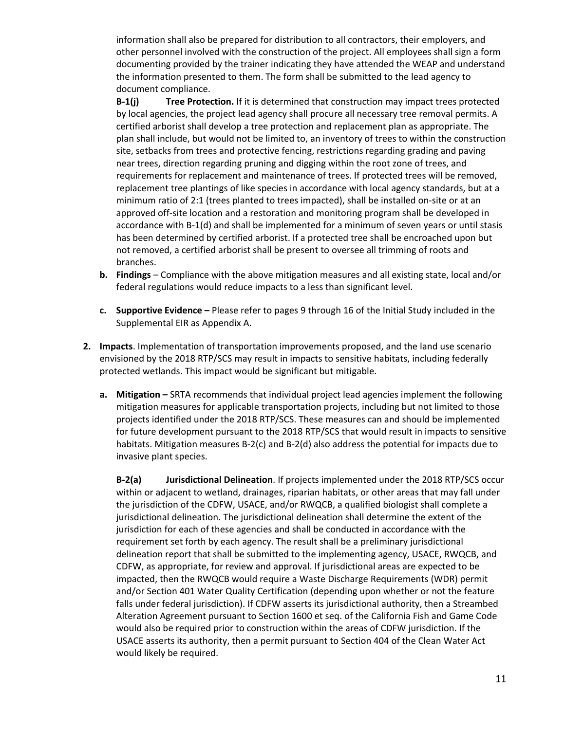information shall also be prepared for distribution to all contractors, their employers, and other personnel involved with the construction of the project. All employees shall sign a form documenting provided by the trainer indicating they have attended the WEAP and understand the information presented to them. The form shall be submitted to the lead agency to document compliance.

**B-1(j) Tree Protection.** If it is determined that construction may impact trees protected by local agencies, the project lead agency shall procure all necessary tree removal permits. A certified arborist shall develop a tree protection and replacement plan as appropriate. The plan shall include, but would not be limited to, an inventory of trees to within the construction site, setbacks from trees and protective fencing, restrictions regarding grading and paving near trees, direction regarding pruning and digging within the root zone of trees, and requirements for replacement and maintenance of trees. If protected trees will be removed, replacement tree plantings of like species in accordance with local agency standards, but at a minimum ratio of 2:1 (trees planted to trees impacted), shall be installed on-site or at an approved off-site location and a restoration and monitoring program shall be developed in accordance with B-1(d) and shall be implemented for a minimum of seven years or until stasis has been determined by certified arborist. If a protected tree shall be encroached upon but not removed, a certified arborist shall be present to oversee all trimming of roots and branches.

- **b. Findings** Compliance with the above mitigation measures and all existing state, local and/or federal regulations would reduce impacts to a less than significant level.
- **c. Supportive Evidence –** Please refer to pages 9 through 16 of the Initial Study included in the Supplemental EIR as Appendix A.
- **2. Impacts**. Implementation of transportation improvements proposed, and the land use scenario envisioned by the 2018 RTP/SCS may result in impacts to sensitive habitats, including federally protected wetlands. This impact would be significant but mitigable.
	- **a. Mitigation –** SRTA recommends that individual project lead agencies implement the following mitigation measures for applicable transportation projects, including but not limited to those projects identified under the 2018 RTP/SCS. These measures can and should be implemented for future development pursuant to the 2018 RTP/SCS that would result in impacts to sensitive habitats. Mitigation measures B-2(c) and B-2(d) also address the potential for impacts due to invasive plant species.

**B-2(a) Jurisdictional Delineation**. If projects implemented under the 2018 RTP/SCS occur within or adjacent to wetland, drainages, riparian habitats, or other areas that may fall under the jurisdiction of the CDFW, USACE, and/or RWQCB, a qualified biologist shall complete a jurisdictional delineation. The jurisdictional delineation shall determine the extent of the jurisdiction for each of these agencies and shall be conducted in accordance with the requirement set forth by each agency. The result shall be a preliminary jurisdictional delineation report that shall be submitted to the implementing agency, USACE, RWQCB, and CDFW, as appropriate, for review and approval. If jurisdictional areas are expected to be impacted, then the RWQCB would require a Waste Discharge Requirements (WDR) permit and/or Section 401 Water Quality Certification (depending upon whether or not the feature falls under federal jurisdiction). If CDFW asserts its jurisdictional authority, then a Streambed Alteration Agreement pursuant to Section 1600 et seq. of the California Fish and Game Code would also be required prior to construction within the areas of CDFW jurisdiction. If the USACE asserts its authority, then a permit pursuant to Section 404 of the Clean Water Act would likely be required.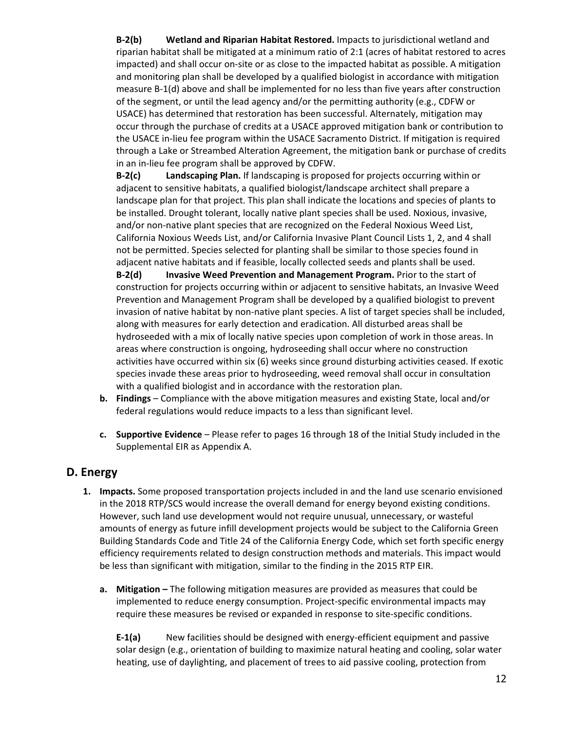**B-2(b) Wetland and Riparian Habitat Restored.** Impacts to jurisdictional wetland and riparian habitat shall be mitigated at a minimum ratio of 2:1 (acres of habitat restored to acres impacted) and shall occur on-site or as close to the impacted habitat as possible. A mitigation and monitoring plan shall be developed by a qualified biologist in accordance with mitigation measure B-1(d) above and shall be implemented for no less than five years after construction of the segment, or until the lead agency and/or the permitting authority (e.g., CDFW or USACE) has determined that restoration has been successful. Alternately, mitigation may occur through the purchase of credits at a USACE approved mitigation bank or contribution to the USACE in-lieu fee program within the USACE Sacramento District. If mitigation is required through a Lake or Streambed Alteration Agreement, the mitigation bank or purchase of credits in an in-lieu fee program shall be approved by CDFW.

**B-2(c) Landscaping Plan.** If landscaping is proposed for projects occurring within or adjacent to sensitive habitats, a qualified biologist/landscape architect shall prepare a landscape plan for that project. This plan shall indicate the locations and species of plants to be installed. Drought tolerant, locally native plant species shall be used. Noxious, invasive, and/or non-native plant species that are recognized on the Federal Noxious Weed List, California Noxious Weeds List, and/or California Invasive Plant Council Lists 1, 2, and 4 shall not be permitted. Species selected for planting shall be similar to those species found in adjacent native habitats and if feasible, locally collected seeds and plants shall be used. **B-2(d) Invasive Weed Prevention and Management Program.** Prior to the start of construction for projects occurring within or adjacent to sensitive habitats, an Invasive Weed Prevention and Management Program shall be developed by a qualified biologist to prevent invasion of native habitat by non-native plant species. A list of target species shall be included, along with measures for early detection and eradication. All disturbed areas shall be hydroseeded with a mix of locally native species upon completion of work in those areas. In areas where construction is ongoing, hydroseeding shall occur where no construction activities have occurred within six (6) weeks since ground disturbing activities ceased. If exotic species invade these areas prior to hydroseeding, weed removal shall occur in consultation with a qualified biologist and in accordance with the restoration plan.

- **b. Findings**  Compliance with the above mitigation measures and existing State, local and/or federal regulations would reduce impacts to a less than significant level.
- **c. Supportive Evidence**  Please refer to pages 16 through 18 of the Initial Study included in the Supplemental EIR as Appendix A.

# **D. Energy**

- **1. Impacts.** Some proposed transportation projects included in and the land use scenario envisioned in the 2018 RTP/SCS would increase the overall demand for energy beyond existing conditions. However, such land use development would not require unusual, unnecessary, or wasteful amounts of energy as future infill development projects would be subject to the California Green Building Standards Code and Title 24 of the California Energy Code, which set forth specific energy efficiency requirements related to design construction methods and materials. This impact would be less than significant with mitigation, similar to the finding in the 2015 RTP EIR.
	- **a. Mitigation –** The following mitigation measures are provided as measures that could be implemented to reduce energy consumption. Project-specific environmental impacts may require these measures be revised or expanded in response to site-specific conditions.

**E-1(a)** New facilities should be designed with energy-efficient equipment and passive solar design (e.g., orientation of building to maximize natural heating and cooling, solar water heating, use of daylighting, and placement of trees to aid passive cooling, protection from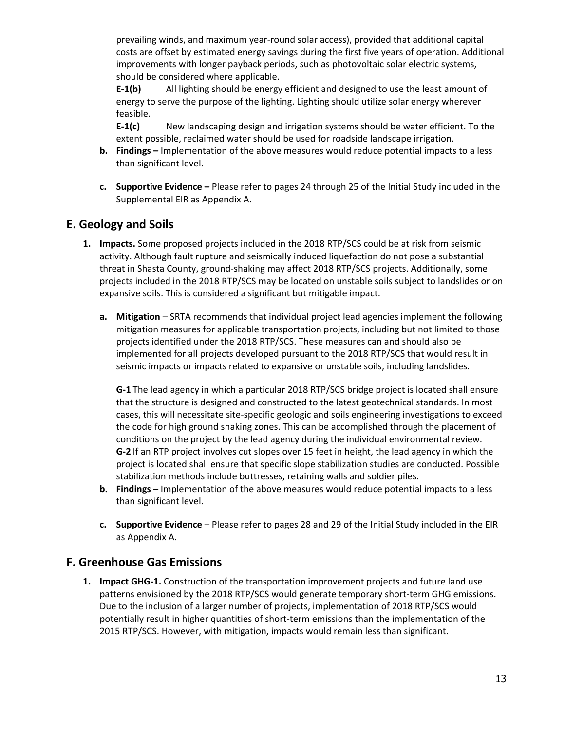prevailing winds, and maximum year-round solar access), provided that additional capital costs are offset by estimated energy savings during the first five years of operation. Additional improvements with longer payback periods, such as photovoltaic solar electric systems, should be considered where applicable.

**E-1(b)** All lighting should be energy efficient and designed to use the least amount of energy to serve the purpose of the lighting. Lighting should utilize solar energy wherever feasible.

**E-1(c)** New landscaping design and irrigation systems should be water efficient. To the extent possible, reclaimed water should be used for roadside landscape irrigation.

- **b. Findings –** Implementation of the above measures would reduce potential impacts to a less than significant level.
- **c. Supportive Evidence –** Please refer to pages 24 through 25 of the Initial Study included in the Supplemental EIR as Appendix A.

## **E. Geology and Soils**

- **1. Impacts.** Some proposed projects included in the 2018 RTP/SCS could be at risk from seismic activity. Although fault rupture and seismically induced liquefaction do not pose a substantial threat in Shasta County, ground-shaking may affect 2018 RTP/SCS projects. Additionally, some projects included in the 2018 RTP/SCS may be located on unstable soils subject to landslides or on expansive soils. This is considered a significant but mitigable impact.
	- **a. Mitigation**  SRTA recommends that individual project lead agencies implement the following mitigation measures for applicable transportation projects, including but not limited to those projects identified under the 2018 RTP/SCS. These measures can and should also be implemented for all projects developed pursuant to the 2018 RTP/SCS that would result in seismic impacts or impacts related to expansive or unstable soils, including landslides.

**G-1** The lead agency in which a particular 2018 RTP/SCS bridge project is located shall ensure that the structure is designed and constructed to the latest geotechnical standards. In most cases, this will necessitate site-specific geologic and soils engineering investigations to exceed the code for high ground shaking zones. This can be accomplished through the placement of conditions on the project by the lead agency during the individual environmental review. **G-2** If an RTP project involves cut slopes over 15 feet in height, the lead agency in which the project is located shall ensure that specific slope stabilization studies are conducted. Possible stabilization methods include buttresses, retaining walls and soldier piles.

- **b. Findings**  Implementation of the above measures would reduce potential impacts to a less than significant level.
- **c. Supportive Evidence**  Please refer to pages 28 and 29 of the Initial Study included in the EIR as Appendix A.

#### **F. Greenhouse Gas Emissions**

**1. Impact GHG-1.** Construction of the transportation improvement projects and future land use patterns envisioned by the 2018 RTP/SCS would generate temporary short-term GHG emissions. Due to the inclusion of a larger number of projects, implementation of 2018 RTP/SCS would potentially result in higher quantities of short-term emissions than the implementation of the 2015 RTP/SCS. However, with mitigation, impacts would remain less than significant.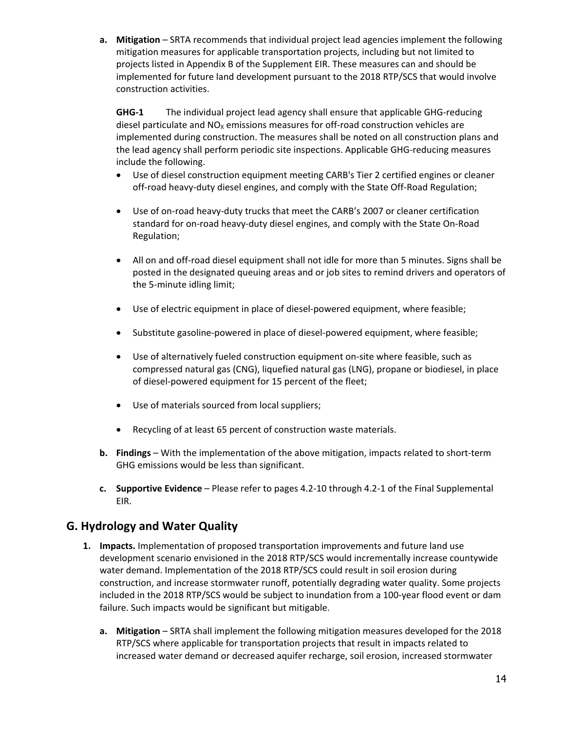**a. Mitigation** – SRTA recommends that individual project lead agencies implement the following mitigation measures for applicable transportation projects, including but not limited to projects listed in Appendix B of the Supplement EIR. These measures can and should be implemented for future land development pursuant to the 2018 RTP/SCS that would involve construction activities.

**GHG-1** The individual project lead agency shall ensure that applicable GHG-reducing diesel particulate and  $NO<sub>X</sub>$  emissions measures for off-road construction vehicles are implemented during construction. The measures shall be noted on all construction plans and the lead agency shall perform periodic site inspections. Applicable GHG-reducing measures include the following.

- Use of diesel construction equipment meeting CARB's Tier 2 certified engines or cleaner off-road heavy-duty diesel engines, and comply with the State Off-Road Regulation;
- Use of on-road heavy-duty trucks that meet the CARB's 2007 or cleaner certification standard for on-road heavy-duty diesel engines, and comply with the State On-Road Regulation;
- All on and off-road diesel equipment shall not idle for more than 5 minutes. Signs shall be posted in the designated queuing areas and or job sites to remind drivers and operators of the 5-minute idling limit;
- Use of electric equipment in place of diesel-powered equipment, where feasible;
- Substitute gasoline-powered in place of diesel-powered equipment, where feasible;
- Use of alternatively fueled construction equipment on-site where feasible, such as compressed natural gas (CNG), liquefied natural gas (LNG), propane or biodiesel, in place of diesel-powered equipment for 15 percent of the fleet;
- Use of materials sourced from local suppliers;
- Recycling of at least 65 percent of construction waste materials.
- **b. Findings** With the implementation of the above mitigation, impacts related to short-term GHG emissions would be less than significant.
- **c. Supportive Evidence** Please refer to pages 4.2-10 through 4.2-1 of the Final Supplemental EIR.

#### **G. Hydrology and Water Quality**

- **1. Impacts.** Implementation of proposed transportation improvements and future land use development scenario envisioned in the 2018 RTP/SCS would incrementally increase countywide water demand. Implementation of the 2018 RTP/SCS could result in soil erosion during construction, and increase stormwater runoff, potentially degrading water quality. Some projects included in the 2018 RTP/SCS would be subject to inundation from a 100-year flood event or dam failure. Such impacts would be significant but mitigable.
	- **a. Mitigation** SRTA shall implement the following mitigation measures developed for the 2018 RTP/SCS where applicable for transportation projects that result in impacts related to increased water demand or decreased aquifer recharge, soil erosion, increased stormwater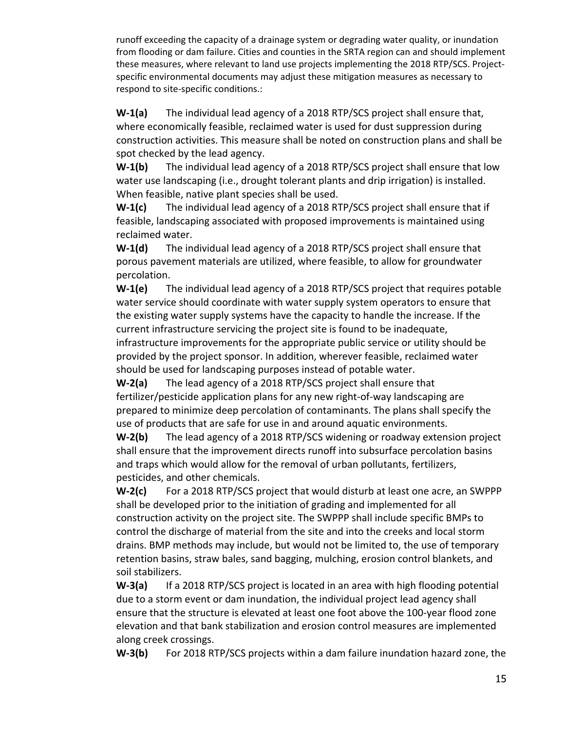runoff exceeding the capacity of a drainage system or degrading water quality, or inundation from flooding or dam failure. Cities and counties in the SRTA region can and should implement these measures, where relevant to land use projects implementing the 2018 RTP/SCS. Projectspecific environmental documents may adjust these mitigation measures as necessary to respond to site-specific conditions.:

**W-1(a)** The individual lead agency of a 2018 RTP/SCS project shall ensure that, where economically feasible, reclaimed water is used for dust suppression during construction activities. This measure shall be noted on construction plans and shall be spot checked by the lead agency.

**W-1(b)** The individual lead agency of a 2018 RTP/SCS project shall ensure that low water use landscaping (i.e., drought tolerant plants and drip irrigation) is installed. When feasible, native plant species shall be used.

**W-1(c)** The individual lead agency of a 2018 RTP/SCS project shall ensure that if feasible, landscaping associated with proposed improvements is maintained using reclaimed water.

**W-1(d)** The individual lead agency of a 2018 RTP/SCS project shall ensure that porous pavement materials are utilized, where feasible, to allow for groundwater percolation.

**W-1(e)** The individual lead agency of a 2018 RTP/SCS project that requires potable water service should coordinate with water supply system operators to ensure that the existing water supply systems have the capacity to handle the increase. If the current infrastructure servicing the project site is found to be inadequate, infrastructure improvements for the appropriate public service or utility should be provided by the project sponsor. In addition, wherever feasible, reclaimed water should be used for landscaping purposes instead of potable water.

**W-2(a)** The lead agency of a 2018 RTP/SCS project shall ensure that fertilizer/pesticide application plans for any new right-of-way landscaping are prepared to minimize deep percolation of contaminants. The plans shall specify the use of products that are safe for use in and around aquatic environments.

**W-2(b)** The lead agency of a 2018 RTP/SCS widening or roadway extension project shall ensure that the improvement directs runoff into subsurface percolation basins and traps which would allow for the removal of urban pollutants, fertilizers, pesticides, and other chemicals.

**W-2(c)** For a 2018 RTP/SCS project that would disturb at least one acre, an SWPPP shall be developed prior to the initiation of grading and implemented for all construction activity on the project site. The SWPPP shall include specific BMPs to control the discharge of material from the site and into the creeks and local storm drains. BMP methods may include, but would not be limited to, the use of temporary retention basins, straw bales, sand bagging, mulching, erosion control blankets, and soil stabilizers.

**W-3(a)** If a 2018 RTP/SCS project is located in an area with high flooding potential due to a storm event or dam inundation, the individual project lead agency shall ensure that the structure is elevated at least one foot above the 100-year flood zone elevation and that bank stabilization and erosion control measures are implemented along creek crossings.

**W-3(b)** For 2018 RTP/SCS projects within a dam failure inundation hazard zone, the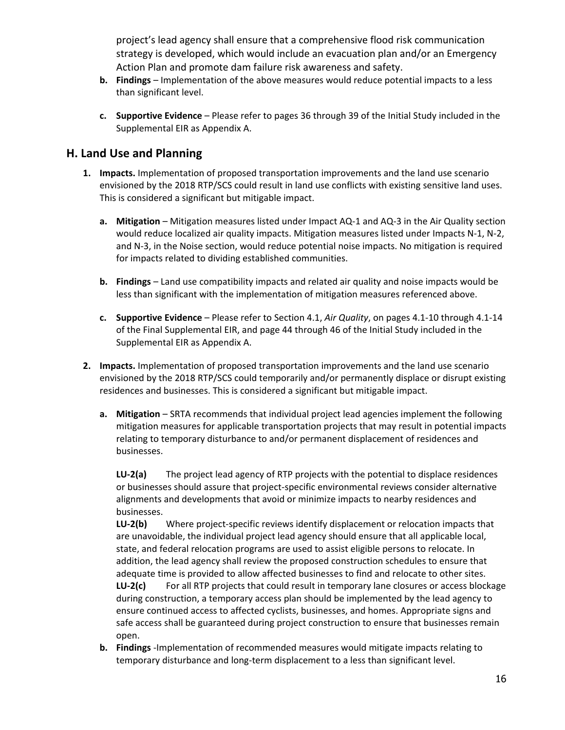project's lead agency shall ensure that a comprehensive flood risk communication strategy is developed, which would include an evacuation plan and/or an Emergency Action Plan and promote dam failure risk awareness and safety.

- **b. Findings** Implementation of the above measures would reduce potential impacts to a less than significant level.
- **c. Supportive Evidence**  Please refer to pages 36 through 39 of the Initial Study included in the Supplemental EIR as Appendix A.

#### **H. Land Use and Planning**

- **1. Impacts.** Implementation of proposed transportation improvements and the land use scenario envisioned by the 2018 RTP/SCS could result in land use conflicts with existing sensitive land uses. This is considered a significant but mitigable impact.
	- **a.** Mitigation Mitigation measures listed under Impact AQ-1 and AQ-3 in the Air Quality section would reduce localized air quality impacts. Mitigation measures listed under Impacts N-1, N-2, and N-3, in the Noise section, would reduce potential noise impacts. No mitigation is required for impacts related to dividing established communities.
	- **b. Findings** Land use compatibility impacts and related air quality and noise impacts would be less than significant with the implementation of mitigation measures referenced above.
	- **c. Supportive Evidence** Please refer to Section 4.1, *Air Quality*, on pages 4.1-10 through 4.1-14 of the Final Supplemental EIR, and page 44 through 46 of the Initial Study included in the Supplemental EIR as Appendix A.
- **2. Impacts.** Implementation of proposed transportation improvements and the land use scenario envisioned by the 2018 RTP/SCS could temporarily and/or permanently displace or disrupt existing residences and businesses. This is considered a significant but mitigable impact.
	- **a. Mitigation** SRTA recommends that individual project lead agencies implement the following mitigation measures for applicable transportation projects that may result in potential impacts relating to temporary disturbance to and/or permanent displacement of residences and businesses.

**LU-2(a)** The project lead agency of RTP projects with the potential to displace residences or businesses should assure that project-specific environmental reviews consider alternative alignments and developments that avoid or minimize impacts to nearby residences and businesses.

**LU-2(b)** Where project-specific reviews identify displacement or relocation impacts that are unavoidable, the individual project lead agency should ensure that all applicable local, state, and federal relocation programs are used to assist eligible persons to relocate. In addition, the lead agency shall review the proposed construction schedules to ensure that adequate time is provided to allow affected businesses to find and relocate to other sites. LU-2(c) For all RTP projects that could result in temporary lane closures or access blockage during construction, a temporary access plan should be implemented by the lead agency to ensure continued access to affected cyclists, businesses, and homes. Appropriate signs and safe access shall be guaranteed during project construction to ensure that businesses remain open.

**b. Findings** -Implementation of recommended measures would mitigate impacts relating to temporary disturbance and long-term displacement to a less than significant level.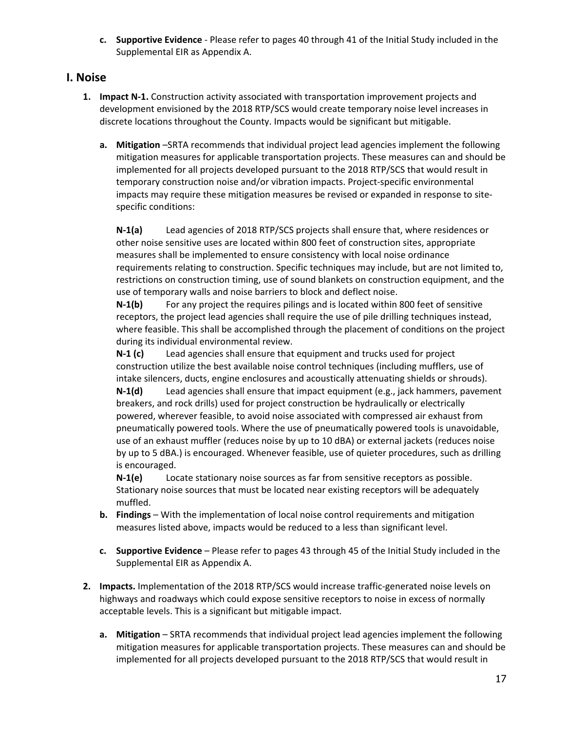**c. Supportive Evidence** - Please refer to pages 40 through 41 of the Initial Study included in the Supplemental EIR as Appendix A.

#### **I. Noise**

- **1. Impact N-1.** Construction activity associated with transportation improvement projects and development envisioned by the 2018 RTP/SCS would create temporary noise level increases in discrete locations throughout the County. Impacts would be significant but mitigable.
	- **a. Mitigation** –SRTA recommends that individual project lead agencies implement the following mitigation measures for applicable transportation projects. These measures can and should be implemented for all projects developed pursuant to the 2018 RTP/SCS that would result in temporary construction noise and/or vibration impacts. Project-specific environmental impacts may require these mitigation measures be revised or expanded in response to sitespecific conditions:

**N-1(a)** Lead agencies of 2018 RTP/SCS projects shall ensure that, where residences or other noise sensitive uses are located within 800 feet of construction sites, appropriate measures shall be implemented to ensure consistency with local noise ordinance requirements relating to construction. Specific techniques may include, but are not limited to, restrictions on construction timing, use of sound blankets on construction equipment, and the use of temporary walls and noise barriers to block and deflect noise.

**N-1(b)** For any project the requires pilings and is located within 800 feet of sensitive receptors, the project lead agencies shall require the use of pile drilling techniques instead, where feasible. This shall be accomplished through the placement of conditions on the project during its individual environmental review.

**N-1 (c)** Lead agencies shall ensure that equipment and trucks used for project construction utilize the best available noise control techniques (including mufflers, use of intake silencers, ducts, engine enclosures and acoustically attenuating shields or shrouds). **N-1(d)** Lead agencies shall ensure that impact equipment (e.g., jack hammers, pavement breakers, and rock drills) used for project construction be hydraulically or electrically powered, wherever feasible, to avoid noise associated with compressed air exhaust from pneumatically powered tools. Where the use of pneumatically powered tools is unavoidable, use of an exhaust muffler (reduces noise by up to 10 dBA) or external jackets (reduces noise by up to 5 dBA.) is encouraged. Whenever feasible, use of quieter procedures, such as drilling is encouraged.

**N-1(e)** Locate stationary noise sources as far from sensitive receptors as possible. Stationary noise sources that must be located near existing receptors will be adequately muffled.

- **b. Findings** With the implementation of local noise control requirements and mitigation measures listed above, impacts would be reduced to a less than significant level.
- **c. Supportive Evidence** Please refer to pages 43 through 45 of the Initial Study included in the Supplemental EIR as Appendix A.
- **2. Impacts.** Implementation of the 2018 RTP/SCS would increase traffic-generated noise levels on highways and roadways which could expose sensitive receptors to noise in excess of normally acceptable levels. This is a significant but mitigable impact.
	- **a. Mitigation** SRTA recommends that individual project lead agencies implement the following mitigation measures for applicable transportation projects. These measures can and should be implemented for all projects developed pursuant to the 2018 RTP/SCS that would result in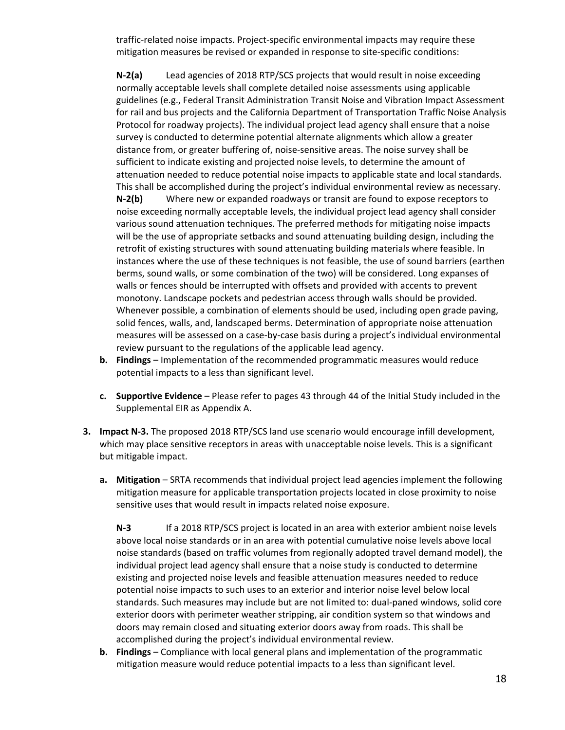traffic-related noise impacts. Project-specific environmental impacts may require these mitigation measures be revised or expanded in response to site-specific conditions:

**N-2(a)** Lead agencies of 2018 RTP/SCS projects that would result in noise exceeding normally acceptable levels shall complete detailed noise assessments using applicable guidelines (e.g., Federal Transit Administration Transit Noise and Vibration Impact Assessment for rail and bus projects and the California Department of Transportation Traffic Noise Analysis Protocol for roadway projects). The individual project lead agency shall ensure that a noise survey is conducted to determine potential alternate alignments which allow a greater distance from, or greater buffering of, noise-sensitive areas. The noise survey shall be sufficient to indicate existing and projected noise levels, to determine the amount of attenuation needed to reduce potential noise impacts to applicable state and local standards. This shall be accomplished during the project's individual environmental review as necessary.

**N-2(b)** Where new or expanded roadways or transit are found to expose receptors to noise exceeding normally acceptable levels, the individual project lead agency shall consider various sound attenuation techniques. The preferred methods for mitigating noise impacts will be the use of appropriate setbacks and sound attenuating building design, including the retrofit of existing structures with sound attenuating building materials where feasible. In instances where the use of these techniques is not feasible, the use of sound barriers (earthen berms, sound walls, or some combination of the two) will be considered. Long expanses of walls or fences should be interrupted with offsets and provided with accents to prevent monotony. Landscape pockets and pedestrian access through walls should be provided. Whenever possible, a combination of elements should be used, including open grade paving, solid fences, walls, and, landscaped berms. Determination of appropriate noise attenuation measures will be assessed on a case-by-case basis during a project's individual environmental review pursuant to the regulations of the applicable lead agency.

- **b. Findings** Implementation of the recommended programmatic measures would reduce potential impacts to a less than significant level.
- **c. Supportive Evidence** Please refer to pages 43 through 44 of the Initial Study included in the Supplemental EIR as Appendix A.
- **3. Impact N-3.** The proposed 2018 RTP/SCS land use scenario would encourage infill development, which may place sensitive receptors in areas with unacceptable noise levels. This is a significant but mitigable impact.
	- **a. Mitigation**  SRTA recommends that individual project lead agencies implement the following mitigation measure for applicable transportation projects located in close proximity to noise sensitive uses that would result in impacts related noise exposure.

**N-3** If a 2018 RTP/SCS project is located in an area with exterior ambient noise levels above local noise standards or in an area with potential cumulative noise levels above local noise standards (based on traffic volumes from regionally adopted travel demand model), the individual project lead agency shall ensure that a noise study is conducted to determine existing and projected noise levels and feasible attenuation measures needed to reduce potential noise impacts to such uses to an exterior and interior noise level below local standards. Such measures may include but are not limited to: dual-paned windows, solid core exterior doors with perimeter weather stripping, air condition system so that windows and doors may remain closed and situating exterior doors away from roads. This shall be accomplished during the project's individual environmental review.

**b. Findings** – Compliance with local general plans and implementation of the programmatic mitigation measure would reduce potential impacts to a less than significant level.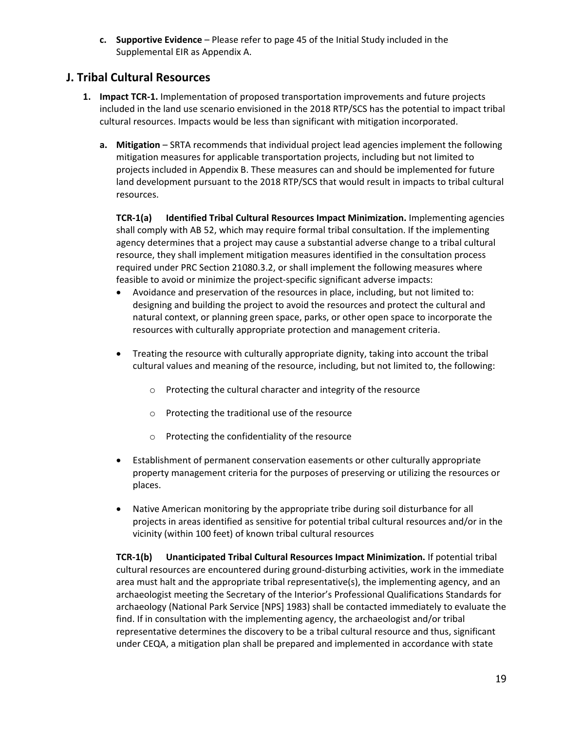**c. Supportive Evidence** – Please refer to page 45 of the Initial Study included in the Supplemental EIR as Appendix A.

# **J. Tribal Cultural Resources**

- **1. Impact TCR-1.** Implementation of proposed transportation improvements and future projects included in the land use scenario envisioned in the 2018 RTP/SCS has the potential to impact tribal cultural resources. Impacts would be less than significant with mitigation incorporated.
	- **a. Mitigation** SRTA recommends that individual project lead agencies implement the following mitigation measures for applicable transportation projects, including but not limited to projects included in Appendix B. These measures can and should be implemented for future land development pursuant to the 2018 RTP/SCS that would result in impacts to tribal cultural resources.

**TCR-1(a) Identified Tribal Cultural Resources Impact Minimization.** Implementing agencies shall comply with AB 52, which may require formal tribal consultation. If the implementing agency determines that a project may cause a substantial adverse change to a tribal cultural resource, they shall implement mitigation measures identified in the consultation process required under PRC Section 21080.3.2, or shall implement the following measures where feasible to avoid or minimize the project-specific significant adverse impacts:

- Avoidance and preservation of the resources in place, including, but not limited to: designing and building the project to avoid the resources and protect the cultural and natural context, or planning green space, parks, or other open space to incorporate the resources with culturally appropriate protection and management criteria.
- Treating the resource with culturally appropriate dignity, taking into account the tribal cultural values and meaning of the resource, including, but not limited to, the following:
	- o Protecting the cultural character and integrity of the resource
	- o Protecting the traditional use of the resource
	- o Protecting the confidentiality of the resource
- Establishment of permanent conservation easements or other culturally appropriate property management criteria for the purposes of preserving or utilizing the resources or places.
- Native American monitoring by the appropriate tribe during soil disturbance for all projects in areas identified as sensitive for potential tribal cultural resources and/or in the vicinity (within 100 feet) of known tribal cultural resources

**TCR-1(b) Unanticipated Tribal Cultural Resources Impact Minimization.** If potential tribal cultural resources are encountered during ground-disturbing activities, work in the immediate area must halt and the appropriate tribal representative(s), the implementing agency, and an archaeologist meeting the Secretary of the Interior's Professional Qualifications Standards for archaeology (National Park Service [NPS] 1983) shall be contacted immediately to evaluate the find. If in consultation with the implementing agency, the archaeologist and/or tribal representative determines the discovery to be a tribal cultural resource and thus, significant under CEQA, a mitigation plan shall be prepared and implemented in accordance with state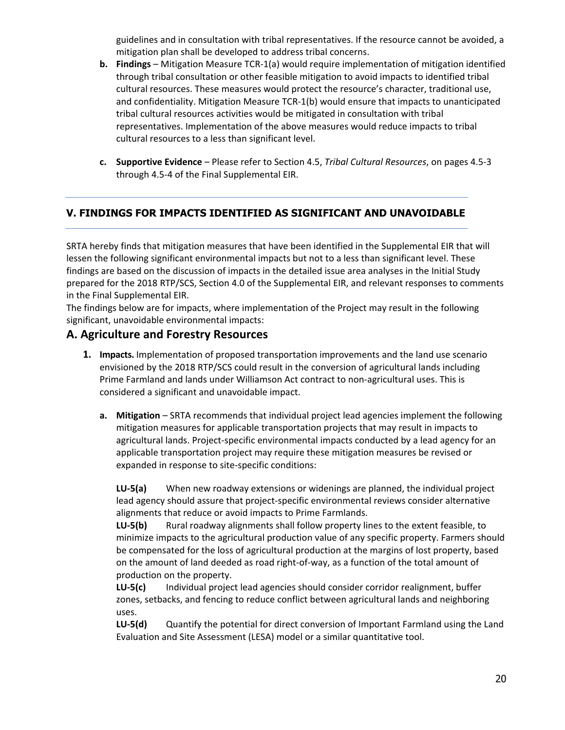guidelines and in consultation with tribal representatives. If the resource cannot be avoided, a mitigation plan shall be developed to address tribal concerns.

- **b. Findings** Mitigation Measure TCR-1(a) would require implementation of mitigation identified through tribal consultation or other feasible mitigation to avoid impacts to identified tribal cultural resources. These measures would protect the resource's character, traditional use, and confidentiality. Mitigation Measure TCR-1(b) would ensure that impacts to unanticipated tribal cultural resources activities would be mitigated in consultation with tribal representatives. Implementation of the above measures would reduce impacts to tribal cultural resources to a less than significant level.
- **c. Supportive Evidence** Please refer to Section 4.5, *Tribal Cultural Resources*, on pages 4.5-3 through 4.5-4 of the Final Supplemental EIR.

## **V. FINDINGS FOR IMPACTS IDENTIFIED AS SIGNIFICANT AND UNAVOIDABLE**

SRTA hereby finds that mitigation measures that have been identified in the Supplemental EIR that will lessen the following significant environmental impacts but not to a less than significant level. These findings are based on the discussion of impacts in the detailed issue area analyses in the Initial Study prepared for the 2018 RTP/SCS, Section 4.0 of the Supplemental EIR, and relevant responses to comments in the Final Supplemental EIR.

The findings below are for impacts, where implementation of the Project may result in the following significant, unavoidable environmental impacts:

#### **A. Agriculture and Forestry Resources**

- **1. Impacts.** Implementation of proposed transportation improvements and the land use scenario envisioned by the 2018 RTP/SCS could result in the conversion of agricultural lands including Prime Farmland and lands under Williamson Act contract to non-agricultural uses. This is considered a significant and unavoidable impact.
	- **a. Mitigation** SRTA recommends that individual project lead agencies implement the following mitigation measures for applicable transportation projects that may result in impacts to agricultural lands. Project-specific environmental impacts conducted by a lead agency for an applicable transportation project may require these mitigation measures be revised or expanded in response to site-specific conditions:

**LU-5(a)** When new roadway extensions or widenings are planned, the individual project lead agency should assure that project-specific environmental reviews consider alternative alignments that reduce or avoid impacts to Prime Farmlands.

**LU-5(b)** Rural roadway alignments shall follow property lines to the extent feasible, to minimize impacts to the agricultural production value of any specific property. Farmers should be compensated for the loss of agricultural production at the margins of lost property, based on the amount of land deeded as road right-of-way, as a function of the total amount of production on the property.

**LU-5(c)** Individual project lead agencies should consider corridor realignment, buffer zones, setbacks, and fencing to reduce conflict between agricultural lands and neighboring uses.

**LU-5(d)** Quantify the potential for direct conversion of Important Farmland using the Land Evaluation and Site Assessment (LESA) model or a similar quantitative tool.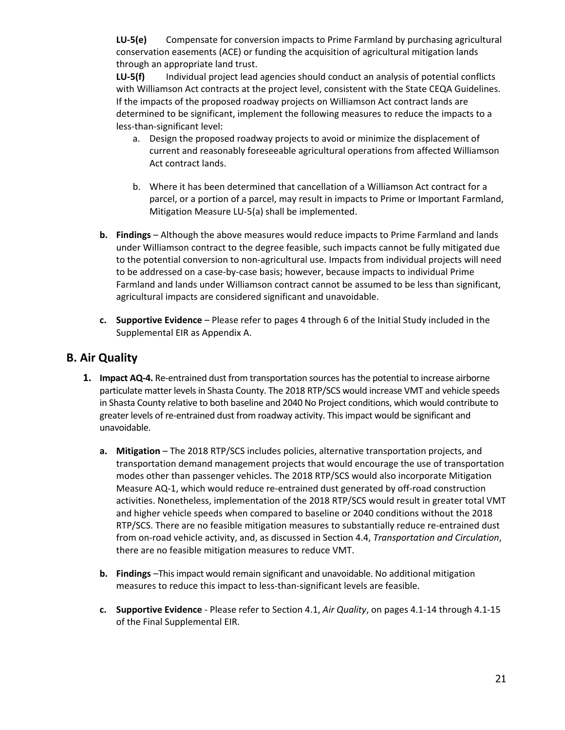**LU-5(e)** Compensate for conversion impacts to Prime Farmland by purchasing agricultural conservation easements (ACE) or funding the acquisition of agricultural mitigation lands through an appropriate land trust.

**LU-5(f)** Individual project lead agencies should conduct an analysis of potential conflicts with Williamson Act contracts at the project level, consistent with the State CEQA Guidelines. If the impacts of the proposed roadway projects on Williamson Act contract lands are determined to be significant, implement the following measures to reduce the impacts to a less-than-significant level:

- a. Design the proposed roadway projects to avoid or minimize the displacement of current and reasonably foreseeable agricultural operations from affected Williamson Act contract lands.
- b. Where it has been determined that cancellation of a Williamson Act contract for a parcel, or a portion of a parcel, may result in impacts to Prime or Important Farmland, Mitigation Measure LU-5(a) shall be implemented.
- **b. Findings** Although the above measures would reduce impacts to Prime Farmland and lands under Williamson contract to the degree feasible, such impacts cannot be fully mitigated due to the potential conversion to non-agricultural use. Impacts from individual projects will need to be addressed on a case-by-case basis; however, because impacts to individual Prime Farmland and lands under Williamson contract cannot be assumed to be less than significant, agricultural impacts are considered significant and unavoidable.
- **c. Supportive Evidence** Please refer to pages 4 through 6 of the Initial Study included in the Supplemental EIR as Appendix A.

#### **B. Air Quality**

- **1. Impact AQ-4.** Re-entrained dust from transportation sources has the potential to increase airborne particulate matter levels in Shasta County. The 2018 RTP/SCS would increase VMT and vehicle speeds in Shasta County relative to both baseline and 2040 No Project conditions, which would contribute to greater levels of re-entrained dust from roadway activity. This impact would be significant and unavoidable.
	- **a. Mitigation** The 2018 RTP/SCS includes policies, alternative transportation projects, and transportation demand management projects that would encourage the use of transportation modes other than passenger vehicles. The 2018 RTP/SCS would also incorporate Mitigation Measure AQ-1, which would reduce re-entrained dust generated by off-road construction activities. Nonetheless, implementation of the 2018 RTP/SCS would result in greater total VMT and higher vehicle speeds when compared to baseline or 2040 conditions without the 2018 RTP/SCS. There are no feasible mitigation measures to substantially reduce re-entrained dust from on-road vehicle activity, and, as discussed in Section 4.4, *Transportation and Circulation*, there are no feasible mitigation measures to reduce VMT.
	- **b. Findings** –This impact would remain significant and unavoidable. No additional mitigation measures to reduce this impact to less-than-significant levels are feasible.
	- **c. Supportive Evidence** Please refer to Section 4.1, *Air Quality*, on pages 4.1-14 through 4.1-15 of the Final Supplemental EIR.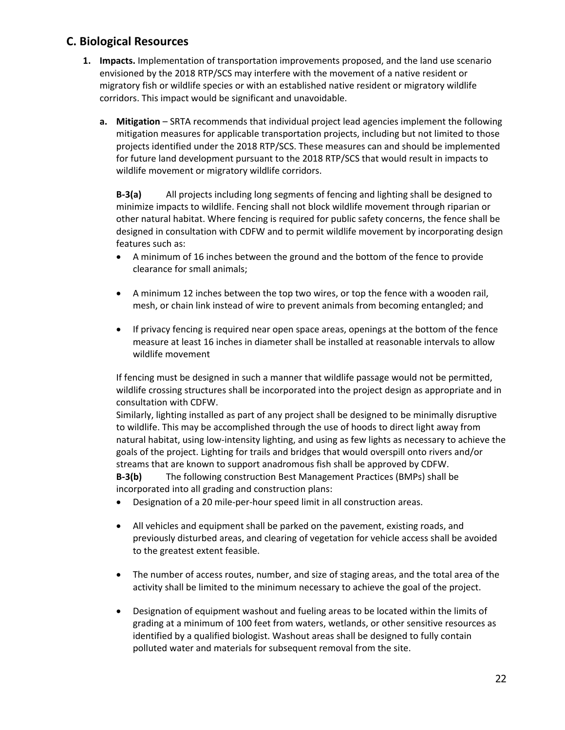## **C. Biological Resources**

- **1. Impacts.** Implementation of transportation improvements proposed, and the land use scenario envisioned by the 2018 RTP/SCS may interfere with the movement of a native resident or migratory fish or wildlife species or with an established native resident or migratory wildlife corridors. This impact would be significant and unavoidable.
	- **a. Mitigation** SRTA recommends that individual project lead agencies implement the following mitigation measures for applicable transportation projects, including but not limited to those projects identified under the 2018 RTP/SCS. These measures can and should be implemented for future land development pursuant to the 2018 RTP/SCS that would result in impacts to wildlife movement or migratory wildlife corridors.

**B-3(a)** All projects including long segments of fencing and lighting shall be designed to minimize impacts to wildlife. Fencing shall not block wildlife movement through riparian or other natural habitat. Where fencing is required for public safety concerns, the fence shall be designed in consultation with CDFW and to permit wildlife movement by incorporating design features such as:

- A minimum of 16 inches between the ground and the bottom of the fence to provide clearance for small animals;
- A minimum 12 inches between the top two wires, or top the fence with a wooden rail, mesh, or chain link instead of wire to prevent animals from becoming entangled; and
- If privacy fencing is required near open space areas, openings at the bottom of the fence measure at least 16 inches in diameter shall be installed at reasonable intervals to allow wildlife movement

If fencing must be designed in such a manner that wildlife passage would not be permitted, wildlife crossing structures shall be incorporated into the project design as appropriate and in consultation with CDFW.

Similarly, lighting installed as part of any project shall be designed to be minimally disruptive to wildlife. This may be accomplished through the use of hoods to direct light away from natural habitat, using low-intensity lighting, and using as few lights as necessary to achieve the goals of the project. Lighting for trails and bridges that would overspill onto rivers and/or streams that are known to support anadromous fish shall be approved by CDFW.

**B-3(b)** The following construction Best Management Practices (BMPs) shall be incorporated into all grading and construction plans:

- Designation of a 20 mile-per-hour speed limit in all construction areas.
- All vehicles and equipment shall be parked on the pavement, existing roads, and previously disturbed areas, and clearing of vegetation for vehicle access shall be avoided to the greatest extent feasible.
- The number of access routes, number, and size of staging areas, and the total area of the activity shall be limited to the minimum necessary to achieve the goal of the project.
- Designation of equipment washout and fueling areas to be located within the limits of grading at a minimum of 100 feet from waters, wetlands, or other sensitive resources as identified by a qualified biologist. Washout areas shall be designed to fully contain polluted water and materials for subsequent removal from the site.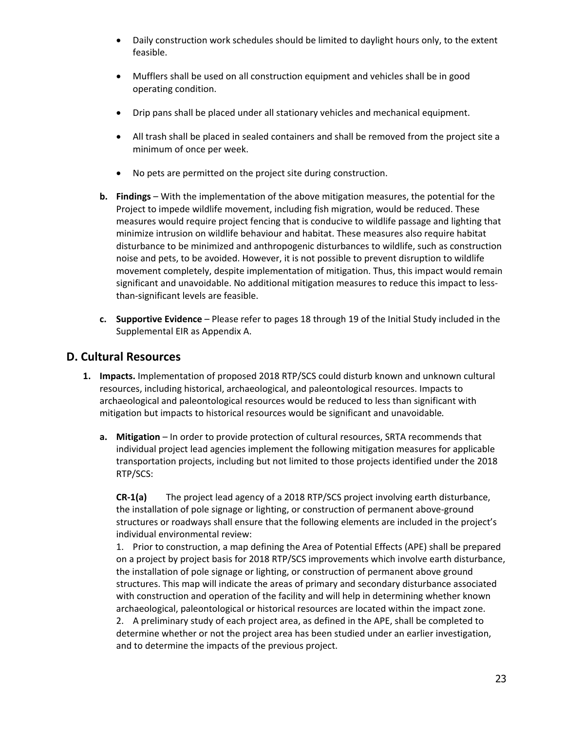- Daily construction work schedules should be limited to daylight hours only, to the extent feasible.
- Mufflers shall be used on all construction equipment and vehicles shall be in good operating condition.
- Drip pans shall be placed under all stationary vehicles and mechanical equipment.
- All trash shall be placed in sealed containers and shall be removed from the project site a minimum of once per week.
- No pets are permitted on the project site during construction.
- **b. Findings** With the implementation of the above mitigation measures, the potential for the Project to impede wildlife movement, including fish migration, would be reduced. These measures would require project fencing that is conducive to wildlife passage and lighting that minimize intrusion on wildlife behaviour and habitat. These measures also require habitat disturbance to be minimized and anthropogenic disturbances to wildlife, such as construction noise and pets, to be avoided. However, it is not possible to prevent disruption to wildlife movement completely, despite implementation of mitigation. Thus, this impact would remain significant and unavoidable. No additional mitigation measures to reduce this impact to lessthan-significant levels are feasible.
- **c. Supportive Evidence** Please refer to pages 18 through 19 of the Initial Study included in the Supplemental EIR as Appendix A.

## **D. Cultural Resources**

- **1. Impacts.** Implementation of proposed 2018 RTP/SCS could disturb known and unknown cultural resources, including historical, archaeological, and paleontological resources. Impacts to archaeological and paleontological resources would be reduced to less than significant with mitigation but impacts to historical resources would be significant and unavoidable*.*
	- **a. Mitigation** In order to provide protection of cultural resources, SRTA recommends that individual project lead agencies implement the following mitigation measures for applicable transportation projects, including but not limited to those projects identified under the 2018 RTP/SCS:

**CR-1(a)** The project lead agency of a 2018 RTP/SCS project involving earth disturbance, the installation of pole signage or lighting, or construction of permanent above-ground structures or roadways shall ensure that the following elements are included in the project's individual environmental review:

1. Prior to construction, a map defining the Area of Potential Effects (APE) shall be prepared on a project by project basis for 2018 RTP/SCS improvements which involve earth disturbance, the installation of pole signage or lighting, or construction of permanent above ground structures. This map will indicate the areas of primary and secondary disturbance associated with construction and operation of the facility and will help in determining whether known archaeological, paleontological or historical resources are located within the impact zone. 2. A preliminary study of each project area, as defined in the APE, shall be completed to determine whether or not the project area has been studied under an earlier investigation, and to determine the impacts of the previous project.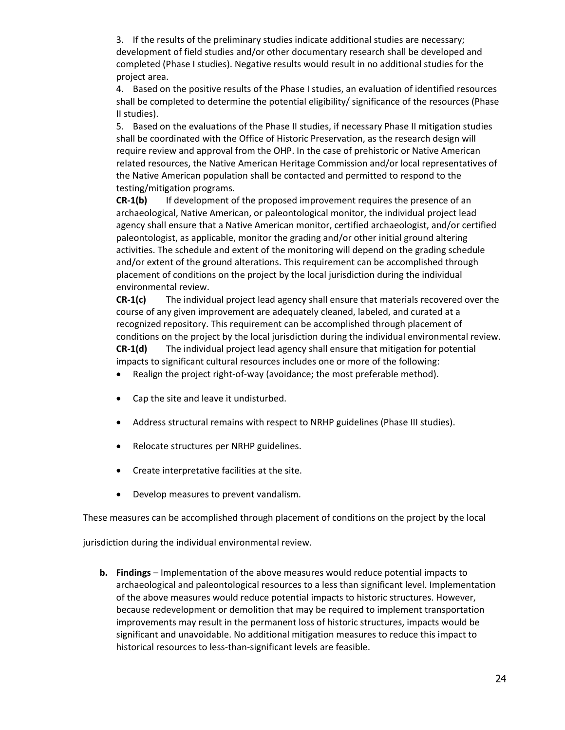3. If the results of the preliminary studies indicate additional studies are necessary; development of field studies and/or other documentary research shall be developed and completed (Phase I studies). Negative results would result in no additional studies for the project area.

4. Based on the positive results of the Phase I studies, an evaluation of identified resources shall be completed to determine the potential eligibility/ significance of the resources (Phase II studies).

5. Based on the evaluations of the Phase II studies, if necessary Phase II mitigation studies shall be coordinated with the Office of Historic Preservation, as the research design will require review and approval from the OHP. In the case of prehistoric or Native American related resources, the Native American Heritage Commission and/or local representatives of the Native American population shall be contacted and permitted to respond to the testing/mitigation programs.

**CR-1(b)** If development of the proposed improvement requires the presence of an archaeological, Native American, or paleontological monitor, the individual project lead agency shall ensure that a Native American monitor, certified archaeologist, and/or certified paleontologist, as applicable, monitor the grading and/or other initial ground altering activities. The schedule and extent of the monitoring will depend on the grading schedule and/or extent of the ground alterations. This requirement can be accomplished through placement of conditions on the project by the local jurisdiction during the individual environmental review.

**CR-1(c)** The individual project lead agency shall ensure that materials recovered over the course of any given improvement are adequately cleaned, labeled, and curated at a recognized repository. This requirement can be accomplished through placement of conditions on the project by the local jurisdiction during the individual environmental review. **CR-1(d)** The individual project lead agency shall ensure that mitigation for potential impacts to significant cultural resources includes one or more of the following:

- Realign the project right-of-way (avoidance; the most preferable method).
- Cap the site and leave it undisturbed.
- Address structural remains with respect to NRHP guidelines (Phase III studies).
- Relocate structures per NRHP guidelines.
- Create interpretative facilities at the site.
- Develop measures to prevent vandalism.

These measures can be accomplished through placement of conditions on the project by the local

jurisdiction during the individual environmental review.

**b. Findings** – Implementation of the above measures would reduce potential impacts to archaeological and paleontological resources to a less than significant level. Implementation of the above measures would reduce potential impacts to historic structures. However, because redevelopment or demolition that may be required to implement transportation improvements may result in the permanent loss of historic structures, impacts would be significant and unavoidable. No additional mitigation measures to reduce this impact to historical resources to less-than-significant levels are feasible.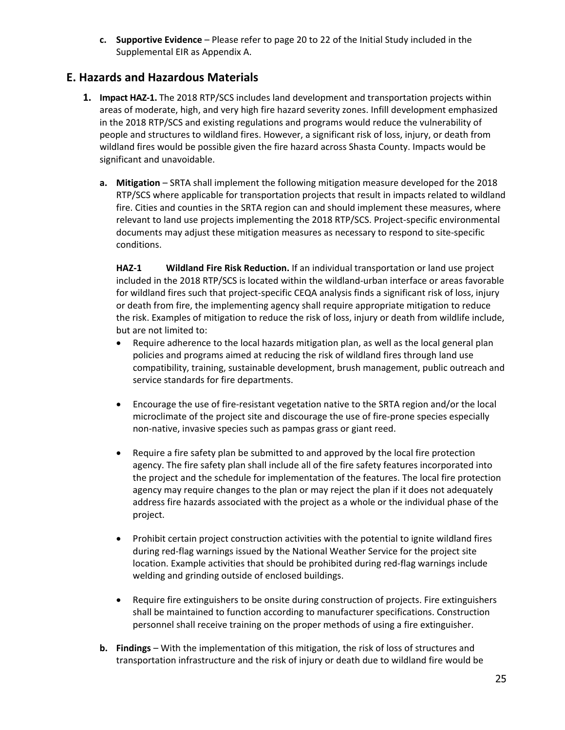**c. Supportive Evidence** – Please refer to page 20 to 22 of the Initial Study included in the Supplemental EIR as Appendix A.

## **E. Hazards and Hazardous Materials**

- **1. Impact HAZ-1.** The 2018 RTP/SCS includes land development and transportation projects within areas of moderate, high, and very high fire hazard severity zones. Infill development emphasized in the 2018 RTP/SCS and existing regulations and programs would reduce the vulnerability of people and structures to wildland fires. However, a significant risk of loss, injury, or death from wildland fires would be possible given the fire hazard across Shasta County. Impacts would be significant and unavoidable.
	- **a. Mitigation** SRTA shall implement the following mitigation measure developed for the 2018 RTP/SCS where applicable for transportation projects that result in impacts related to wildland fire. Cities and counties in the SRTA region can and should implement these measures, where relevant to land use projects implementing the 2018 RTP/SCS. Project-specific environmental documents may adjust these mitigation measures as necessary to respond to site-specific conditions.

**HAZ-1 Wildland Fire Risk Reduction.** If an individual transportation or land use project included in the 2018 RTP/SCS is located within the wildland-urban interface or areas favorable for wildland fires such that project-specific CEQA analysis finds a significant risk of loss, injury or death from fire, the implementing agency shall require appropriate mitigation to reduce the risk. Examples of mitigation to reduce the risk of loss, injury or death from wildlife include, but are not limited to:

- Require adherence to the local hazards mitigation plan, as well as the local general plan policies and programs aimed at reducing the risk of wildland fires through land use compatibility, training, sustainable development, brush management, public outreach and service standards for fire departments.
- Encourage the use of fire-resistant vegetation native to the SRTA region and/or the local microclimate of the project site and discourage the use of fire-prone species especially non-native, invasive species such as pampas grass or giant reed.
- Require a fire safety plan be submitted to and approved by the local fire protection agency. The fire safety plan shall include all of the fire safety features incorporated into the project and the schedule for implementation of the features. The local fire protection agency may require changes to the plan or may reject the plan if it does not adequately address fire hazards associated with the project as a whole or the individual phase of the project.
- Prohibit certain project construction activities with the potential to ignite wildland fires during red-flag warnings issued by the National Weather Service for the project site location. Example activities that should be prohibited during red-flag warnings include welding and grinding outside of enclosed buildings.
- Require fire extinguishers to be onsite during construction of projects. Fire extinguishers shall be maintained to function according to manufacturer specifications. Construction personnel shall receive training on the proper methods of using a fire extinguisher.
- **b. Findings** With the implementation of this mitigation, the risk of loss of structures and transportation infrastructure and the risk of injury or death due to wildland fire would be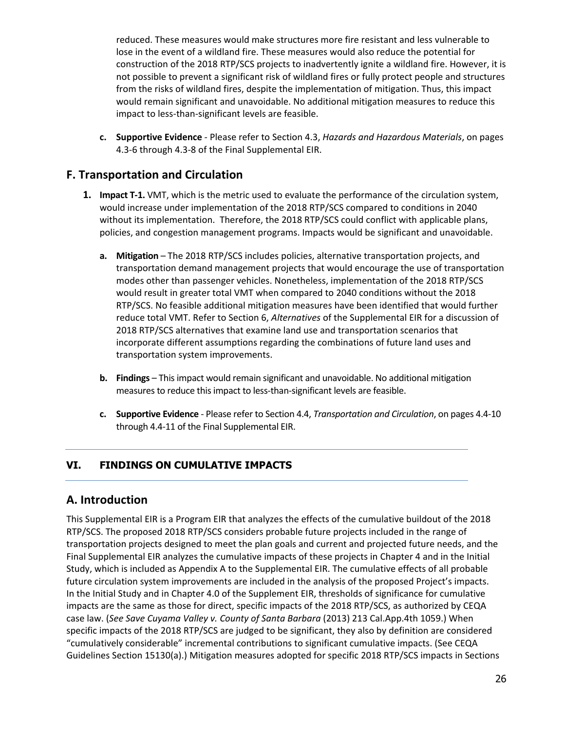reduced. These measures would make structures more fire resistant and less vulnerable to lose in the event of a wildland fire. These measures would also reduce the potential for construction of the 2018 RTP/SCS projects to inadvertently ignite a wildland fire. However, it is not possible to prevent a significant risk of wildland fires or fully protect people and structures from the risks of wildland fires, despite the implementation of mitigation. Thus, this impact would remain significant and unavoidable. No additional mitigation measures to reduce this impact to less-than-significant levels are feasible.

**c. Supportive Evidence** - Please refer to Section 4.3, *Hazards and Hazardous Materials*, on pages 4.3-6 through 4.3-8 of the Final Supplemental EIR.

## **F. Transportation and Circulation**

- **1. Impact T-1.** VMT, which is the metric used to evaluate the performance of the circulation system, would increase under implementation of the 2018 RTP/SCS compared to conditions in 2040 without its implementation. Therefore, the 2018 RTP/SCS could conflict with applicable plans, policies, and congestion management programs. Impacts would be significant and unavoidable.
	- **a. Mitigation**  The 2018 RTP/SCS includes policies, alternative transportation projects, and transportation demand management projects that would encourage the use of transportation modes other than passenger vehicles. Nonetheless, implementation of the 2018 RTP/SCS would result in greater total VMT when compared to 2040 conditions without the 2018 RTP/SCS. No feasible additional mitigation measures have been identified that would further reduce total VMT. Refer to Section 6, *Alternatives* of the Supplemental EIR for a discussion of 2018 RTP/SCS alternatives that examine land use and transportation scenarios that incorporate different assumptions regarding the combinations of future land uses and transportation system improvements.
	- **b. Findings** This impact would remain significant and unavoidable. No additional mitigation measures to reduce this impact to less-than-significant levels are feasible.
	- **c. Supportive Evidence** Please refer to Section 4.4, *Transportation and Circulation*, on pages 4.4-10 through 4.4-11 of the Final Supplemental EIR.

#### **VI. FINDINGS ON CUMULATIVE IMPACTS**

#### **A. Introduction**

This Supplemental EIR is a Program EIR that analyzes the effects of the cumulative buildout of the 2018 RTP/SCS. The proposed 2018 RTP/SCS considers probable future projects included in the range of transportation projects designed to meet the plan goals and current and projected future needs, and the Final Supplemental EIR analyzes the cumulative impacts of these projects in Chapter 4 and in the Initial Study, which is included as Appendix A to the Supplemental EIR. The cumulative effects of all probable future circulation system improvements are included in the analysis of the proposed Project's impacts. In the Initial Study and in Chapter 4.0 of the Supplement EIR, thresholds of significance for cumulative impacts are the same as those for direct, specific impacts of the 2018 RTP/SCS, as authorized by CEQA case law. (*See Save Cuyama Valley v. County of Santa Barbara* (2013) 213 Cal.App.4th 1059.) When specific impacts of the 2018 RTP/SCS are judged to be significant, they also by definition are considered "cumulatively considerable" incremental contributions to significant cumulative impacts. (See CEQA Guidelines Section 15130(a).) Mitigation measures adopted for specific 2018 RTP/SCS impacts in Sections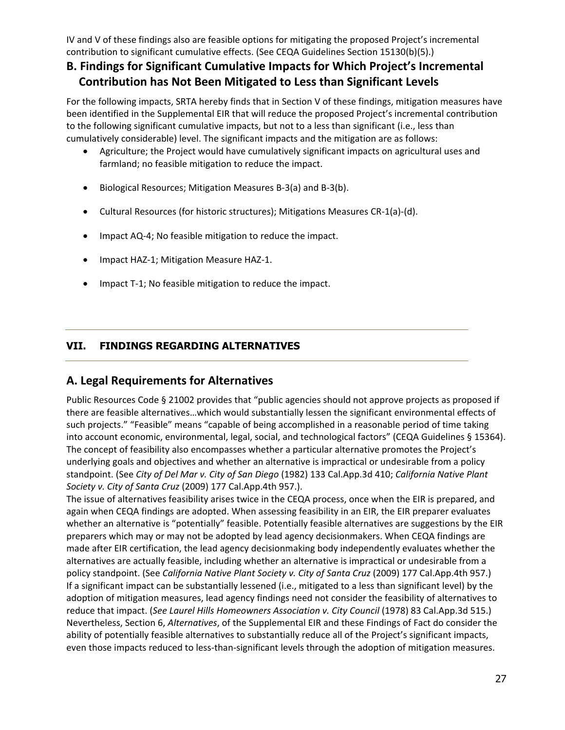IV and V of these findings also are feasible options for mitigating the proposed Project's incremental contribution to significant cumulative effects. (See CEQA Guidelines Section 15130(b)(5).)

# **B. Findings for Significant Cumulative Impacts for Which Project's Incremental Contribution has Not Been Mitigated to Less than Significant Levels**

For the following impacts, SRTA hereby finds that in Section V of these findings, mitigation measures have been identified in the Supplemental EIR that will reduce the proposed Project's incremental contribution to the following significant cumulative impacts, but not to a less than significant (i.e., less than cumulatively considerable) level. The significant impacts and the mitigation are as follows:

- Agriculture; the Project would have cumulatively significant impacts on agricultural uses and farmland; no feasible mitigation to reduce the impact.
- Biological Resources; Mitigation Measures B-3(a) and B-3(b).
- Cultural Resources (for historic structures); Mitigations Measures CR-1(a)-(d).
- Impact AQ-4; No feasible mitigation to reduce the impact.
- Impact HAZ-1; Mitigation Measure HAZ-1.
- Impact T-1; No feasible mitigation to reduce the impact.

#### **VII. FINDINGS REGARDING ALTERNATIVES**

#### **A. Legal Requirements for Alternatives**

Public Resources Code § 21002 provides that "public agencies should not approve projects as proposed if there are feasible alternatives…which would substantially lessen the significant environmental effects of such projects." "Feasible" means "capable of being accomplished in a reasonable period of time taking into account economic, environmental, legal, social, and technological factors" (CEQA Guidelines § 15364). The concept of feasibility also encompasses whether a particular alternative promotes the Project's underlying goals and objectives and whether an alternative is impractical or undesirable from a policy standpoint. (See *City of Del Mar v. City of San Diego* (1982) 133 Cal.App.3d 410; *California Native Plant Society v. City of Santa Cruz* (2009) 177 Cal.App.4th 957.).

The issue of alternatives feasibility arises twice in the CEQA process, once when the EIR is prepared, and again when CEQA findings are adopted. When assessing feasibility in an EIR, the EIR preparer evaluates whether an alternative is "potentially" feasible. Potentially feasible alternatives are suggestions by the EIR preparers which may or may not be adopted by lead agency decisionmakers. When CEQA findings are made after EIR certification, the lead agency decisionmaking body independently evaluates whether the alternatives are actually feasible, including whether an alternative is impractical or undesirable from a policy standpoint. (See *California Native Plant Society v. City of Santa Cruz* (2009) 177 Cal.App.4th 957.) If a significant impact can be substantially lessened (i.e., mitigated to a less than significant level) by the adoption of mitigation measures, lead agency findings need not consider the feasibility of alternatives to reduce that impact. (*See Laurel Hills Homeowners Association v. City Council* (1978) 83 Cal.App.3d 515.) Nevertheless, Section 6, *Alternatives*, of the Supplemental EIR and these Findings of Fact do consider the ability of potentially feasible alternatives to substantially reduce all of the Project's significant impacts, even those impacts reduced to less-than-significant levels through the adoption of mitigation measures.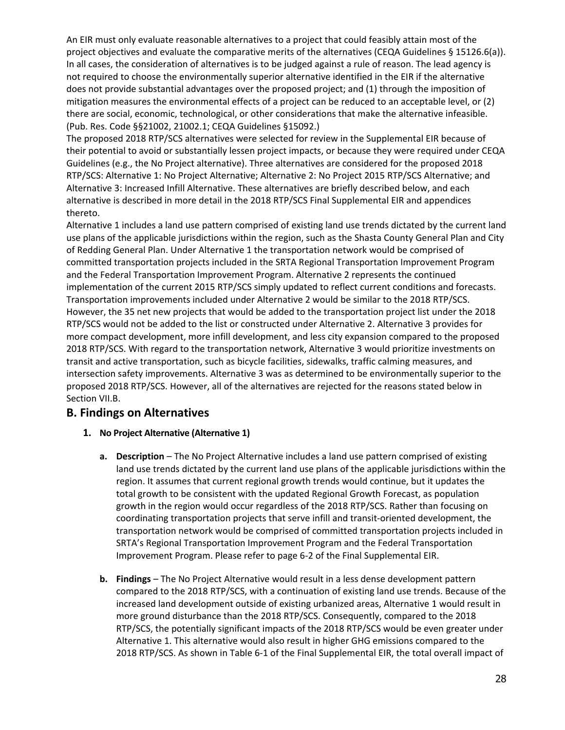An EIR must only evaluate reasonable alternatives to a project that could feasibly attain most of the project objectives and evaluate the comparative merits of the alternatives (CEQA Guidelines § 15126.6(a)). In all cases, the consideration of alternatives is to be judged against a rule of reason. The lead agency is not required to choose the environmentally superior alternative identified in the EIR if the alternative does not provide substantial advantages over the proposed project; and (1) through the imposition of mitigation measures the environmental effects of a project can be reduced to an acceptable level, or (2) there are social, economic, technological, or other considerations that make the alternative infeasible. (Pub. Res. Code §§21002, 21002.1; CEQA Guidelines §15092.)

The proposed 2018 RTP/SCS alternatives were selected for review in the Supplemental EIR because of their potential to avoid or substantially lessen project impacts, or because they were required under CEQA Guidelines (e.g., the No Project alternative). Three alternatives are considered for the proposed 2018 RTP/SCS: Alternative 1: No Project Alternative; Alternative 2: No Project 2015 RTP/SCS Alternative; and Alternative 3: Increased Infill Alternative. These alternatives are briefly described below, and each alternative is described in more detail in the 2018 RTP/SCS Final Supplemental EIR and appendices thereto.

Alternative 1 includes a land use pattern comprised of existing land use trends dictated by the current land use plans of the applicable jurisdictions within the region, such as the Shasta County General Plan and City of Redding General Plan. Under Alternative 1 the transportation network would be comprised of committed transportation projects included in the SRTA Regional Transportation Improvement Program and the Federal Transportation Improvement Program. Alternative 2 represents the continued implementation of the current 2015 RTP/SCS simply updated to reflect current conditions and forecasts. Transportation improvements included under Alternative 2 would be similar to the 2018 RTP/SCS. However, the 35 net new projects that would be added to the transportation project list under the 2018 RTP/SCS would not be added to the list or constructed under Alternative 2. Alternative 3 provides for more compact development, more infill development, and less city expansion compared to the proposed 2018 RTP/SCS. With regard to the transportation network, Alternative 3 would prioritize investments on transit and active transportation, such as bicycle facilities, sidewalks, traffic calming measures, and intersection safety improvements. Alternative 3 was as determined to be environmentally superior to the proposed 2018 RTP/SCS. However, all of the alternatives are rejected for the reasons stated below in Section VII.B.

#### **B. Findings on Alternatives**

- **1. No Project Alternative (Alternative 1)**
	- **a. Description** The No Project Alternative includes a land use pattern comprised of existing land use trends dictated by the current land use plans of the applicable jurisdictions within the region. It assumes that current regional growth trends would continue, but it updates the total growth to be consistent with the updated Regional Growth Forecast, as population growth in the region would occur regardless of the 2018 RTP/SCS. Rather than focusing on coordinating transportation projects that serve infill and transit-oriented development, the transportation network would be comprised of committed transportation projects included in SRTA's Regional Transportation Improvement Program and the Federal Transportation Improvement Program. Please refer to page 6-2 of the Final Supplemental EIR.
	- **b. Findings** The No Project Alternative would result in a less dense development pattern compared to the 2018 RTP/SCS, with a continuation of existing land use trends. Because of the increased land development outside of existing urbanized areas, Alternative 1 would result in more ground disturbance than the 2018 RTP/SCS. Consequently, compared to the 2018 RTP/SCS, the potentially significant impacts of the 2018 RTP/SCS would be even greater under Alternative 1. This alternative would also result in higher GHG emissions compared to the 2018 RTP/SCS. As shown in Table 6-1 of the Final Supplemental EIR, the total overall impact of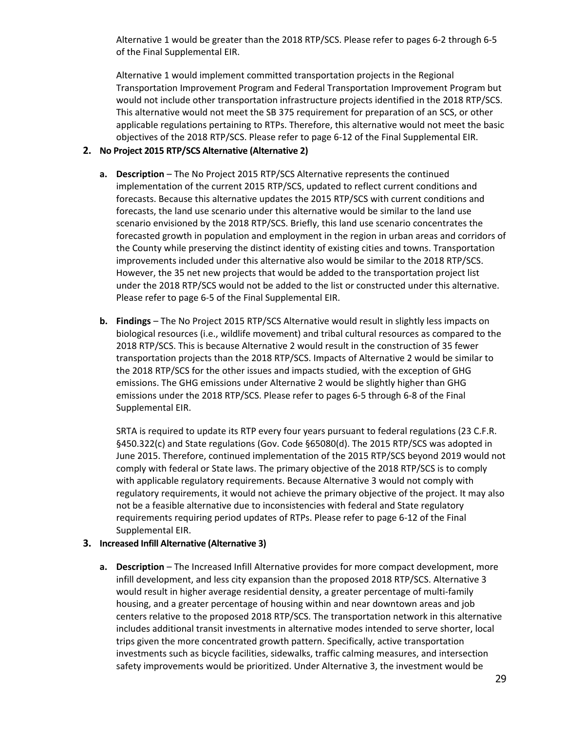Alternative 1 would be greater than the 2018 RTP/SCS. Please refer to pages 6-2 through 6-5 of the Final Supplemental EIR.

Alternative 1 would implement committed transportation projects in the Regional Transportation Improvement Program and Federal Transportation Improvement Program but would not include other transportation infrastructure projects identified in the 2018 RTP/SCS. This alternative would not meet the SB 375 requirement for preparation of an SCS, or other applicable regulations pertaining to RTPs. Therefore, this alternative would not meet the basic objectives of the 2018 RTP/SCS. Please refer to page 6-12 of the Final Supplemental EIR.

#### **2. No Project 2015 RTP/SCS Alternative (Alternative 2)**

- **a. Description** The No Project 2015 RTP/SCS Alternative represents the continued implementation of the current 2015 RTP/SCS, updated to reflect current conditions and forecasts. Because this alternative updates the 2015 RTP/SCS with current conditions and forecasts, the land use scenario under this alternative would be similar to the land use scenario envisioned by the 2018 RTP/SCS. Briefly, this land use scenario concentrates the forecasted growth in population and employment in the region in urban areas and corridors of the County while preserving the distinct identity of existing cities and towns. Transportation improvements included under this alternative also would be similar to the 2018 RTP/SCS. However, the 35 net new projects that would be added to the transportation project list under the 2018 RTP/SCS would not be added to the list or constructed under this alternative. Please refer to page 6-5 of the Final Supplemental EIR.
- **b. Findings** The No Project 2015 RTP/SCS Alternative would result in slightly less impacts on biological resources (i.e., wildlife movement) and tribal cultural resources as compared to the 2018 RTP/SCS. This is because Alternative 2 would result in the construction of 35 fewer transportation projects than the 2018 RTP/SCS. Impacts of Alternative 2 would be similar to the 2018 RTP/SCS for the other issues and impacts studied, with the exception of GHG emissions. The GHG emissions under Alternative 2 would be slightly higher than GHG emissions under the 2018 RTP/SCS. Please refer to pages 6-5 through 6-8 of the Final Supplemental EIR.

SRTA is required to update its RTP every four years pursuant to federal regulations (23 C.F.R. §450.322(c) and State regulations (Gov. Code §65080(d). The 2015 RTP/SCS was adopted in June 2015. Therefore, continued implementation of the 2015 RTP/SCS beyond 2019 would not comply with federal or State laws. The primary objective of the 2018 RTP/SCS is to comply with applicable regulatory requirements. Because Alternative 3 would not comply with regulatory requirements, it would not achieve the primary objective of the project. It may also not be a feasible alternative due to inconsistencies with federal and State regulatory requirements requiring period updates of RTPs. Please refer to page 6-12 of the Final Supplemental EIR.

#### **3. Increased Infill Alternative (Alternative 3)**

**a. Description** – The Increased Infill Alternative provides for more compact development, more infill development, and less city expansion than the proposed 2018 RTP/SCS. Alternative 3 would result in higher average residential density, a greater percentage of multi-family housing, and a greater percentage of housing within and near downtown areas and job centers relative to the proposed 2018 RTP/SCS. The transportation network in this alternative includes additional transit investments in alternative modes intended to serve shorter, local trips given the more concentrated growth pattern. Specifically, active transportation investments such as bicycle facilities, sidewalks, traffic calming measures, and intersection safety improvements would be prioritized. Under Alternative 3, the investment would be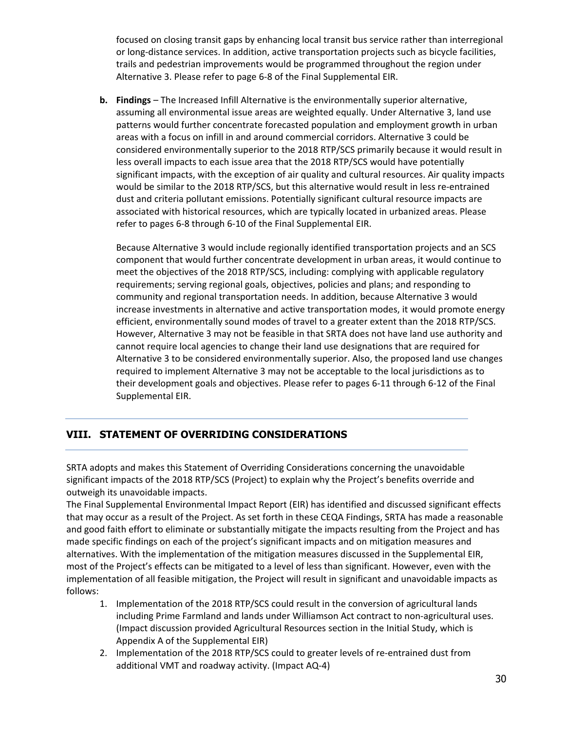focused on closing transit gaps by enhancing local transit bus service rather than interregional or long-distance services. In addition, active transportation projects such as bicycle facilities, trails and pedestrian improvements would be programmed throughout the region under Alternative 3. Please refer to page 6-8 of the Final Supplemental EIR.

**b. Findings** – The Increased Infill Alternative is the environmentally superior alternative, assuming all environmental issue areas are weighted equally. Under Alternative 3, land use patterns would further concentrate forecasted population and employment growth in urban areas with a focus on infill in and around commercial corridors. Alternative 3 could be considered environmentally superior to the 2018 RTP/SCS primarily because it would result in less overall impacts to each issue area that the 2018 RTP/SCS would have potentially significant impacts, with the exception of air quality and cultural resources. Air quality impacts would be similar to the 2018 RTP/SCS, but this alternative would result in less re-entrained dust and criteria pollutant emissions. Potentially significant cultural resource impacts are associated with historical resources, which are typically located in urbanized areas. Please refer to pages 6-8 through 6-10 of the Final Supplemental EIR.

Because Alternative 3 would include regionally identified transportation projects and an SCS component that would further concentrate development in urban areas, it would continue to meet the objectives of the 2018 RTP/SCS, including: complying with applicable regulatory requirements; serving regional goals, objectives, policies and plans; and responding to community and regional transportation needs. In addition, because Alternative 3 would increase investments in alternative and active transportation modes, it would promote energy efficient, environmentally sound modes of travel to a greater extent than the 2018 RTP/SCS. However, Alternative 3 may not be feasible in that SRTA does not have land use authority and cannot require local agencies to change their land use designations that are required for Alternative 3 to be considered environmentally superior. Also, the proposed land use changes required to implement Alternative 3 may not be acceptable to the local jurisdictions as to their development goals and objectives. Please refer to pages 6-11 through 6-12 of the Final Supplemental EIR.

#### **VIII. STATEMENT OF OVERRIDING CONSIDERATIONS**

SRTA adopts and makes this Statement of Overriding Considerations concerning the unavoidable significant impacts of the 2018 RTP/SCS (Project) to explain why the Project's benefits override and outweigh its unavoidable impacts.

The Final Supplemental Environmental Impact Report (EIR) has identified and discussed significant effects that may occur as a result of the Project. As set forth in these CEQA Findings, SRTA has made a reasonable and good faith effort to eliminate or substantially mitigate the impacts resulting from the Project and has made specific findings on each of the project's significant impacts and on mitigation measures and alternatives. With the implementation of the mitigation measures discussed in the Supplemental EIR, most of the Project's effects can be mitigated to a level of less than significant. However, even with the implementation of all feasible mitigation, the Project will result in significant and unavoidable impacts as follows:

- 1. Implementation of the 2018 RTP/SCS could result in the conversion of agricultural lands including Prime Farmland and lands under Williamson Act contract to non-agricultural uses. (Impact discussion provided Agricultural Resources section in the Initial Study, which is Appendix A of the Supplemental EIR)
- 2. Implementation of the 2018 RTP/SCS could to greater levels of re-entrained dust from additional VMT and roadway activity. (Impact AQ-4)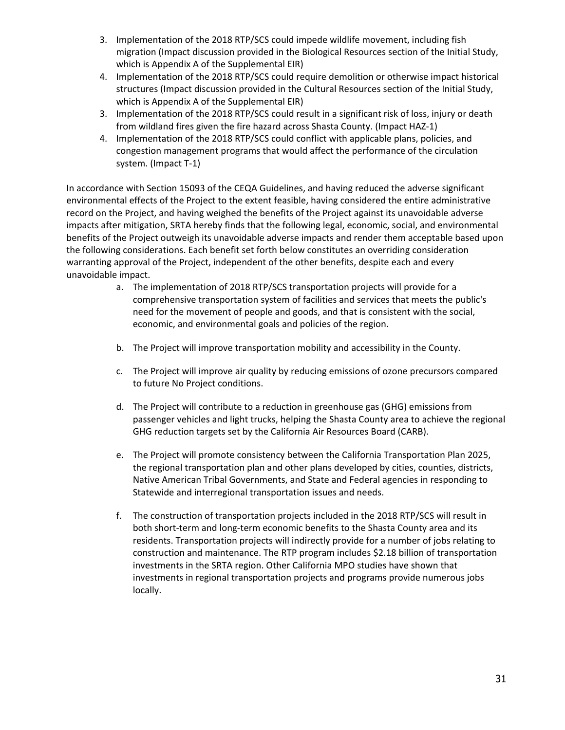- 3. Implementation of the 2018 RTP/SCS could impede wildlife movement, including fish migration (Impact discussion provided in the Biological Resources section of the Initial Study, which is Appendix A of the Supplemental EIR)
- 4. Implementation of the 2018 RTP/SCS could require demolition or otherwise impact historical structures (Impact discussion provided in the Cultural Resources section of the Initial Study, which is Appendix A of the Supplemental EIR)
- 3. Implementation of the 2018 RTP/SCS could result in a significant risk of loss, injury or death from wildland fires given the fire hazard across Shasta County. (Impact HAZ-1)
- 4. Implementation of the 2018 RTP/SCS could conflict with applicable plans, policies, and congestion management programs that would affect the performance of the circulation system. (Impact T-1)

In accordance with Section 15093 of the CEQA Guidelines, and having reduced the adverse significant environmental effects of the Project to the extent feasible, having considered the entire administrative record on the Project, and having weighed the benefits of the Project against its unavoidable adverse impacts after mitigation, SRTA hereby finds that the following legal, economic, social, and environmental benefits of the Project outweigh its unavoidable adverse impacts and render them acceptable based upon the following considerations. Each benefit set forth below constitutes an overriding consideration warranting approval of the Project, independent of the other benefits, despite each and every unavoidable impact.

- a. The implementation of 2018 RTP/SCS transportation projects will provide for a comprehensive transportation system of facilities and services that meets the public's need for the movement of people and goods, and that is consistent with the social, economic, and environmental goals and policies of the region.
- b. The Project will improve transportation mobility and accessibility in the County.
- c. The Project will improve air quality by reducing emissions of ozone precursors compared to future No Project conditions.
- d. The Project will contribute to a reduction in greenhouse gas (GHG) emissions from passenger vehicles and light trucks, helping the Shasta County area to achieve the regional GHG reduction targets set by the California Air Resources Board (CARB).
- e. The Project will promote consistency between the California Transportation Plan 2025, the regional transportation plan and other plans developed by cities, counties, districts, Native American Tribal Governments, and State and Federal agencies in responding to Statewide and interregional transportation issues and needs.
- f. The construction of transportation projects included in the 2018 RTP/SCS will result in both short-term and long-term economic benefits to the Shasta County area and its residents. Transportation projects will indirectly provide for a number of jobs relating to construction and maintenance. The RTP program includes \$2.18 billion of transportation investments in the SRTA region. Other California MPO studies have shown that investments in regional transportation projects and programs provide numerous jobs locally.